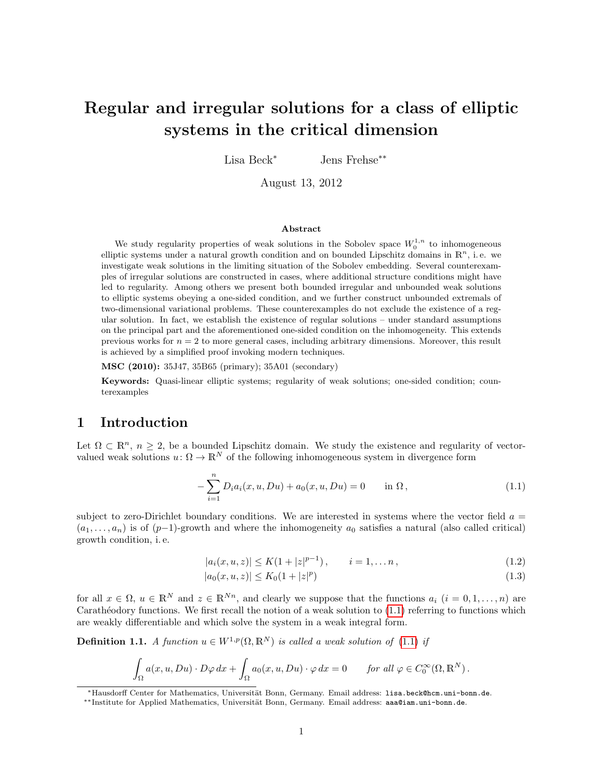# Regular and irregular solutions for a class of elliptic systems in the critical dimension

Lisa Beck<sup>∗</sup> Jens Frehse∗∗

August 13, 2012

#### Abstract

We study regularity properties of weak solutions in the Sobolev space  $W_0^{1,n}$  to inhomogeneous elliptic systems under a natural growth condition and on bounded Lipschitz domains in  $\mathbb{R}^n$ , i.e. we investigate weak solutions in the limiting situation of the Sobolev embedding. Several counterexamples of irregular solutions are constructed in cases, where additional structure conditions might have led to regularity. Among others we present both bounded irregular and unbounded weak solutions to elliptic systems obeying a one-sided condition, and we further construct unbounded extremals of two-dimensional variational problems. These counterexamples do not exclude the existence of a regular solution. In fact, we establish the existence of regular solutions – under standard assumptions on the principal part and the aforementioned one-sided condition on the inhomogeneity. This extends previous works for  $n = 2$  to more general cases, including arbitrary dimensions. Moreover, this result is achieved by a simplified proof invoking modern techniques.

MSC (2010): 35J47, 35B65 (primary); 35A01 (secondary)

Keywords: Quasi-linear elliptic systems; regularity of weak solutions; one-sided condition; counterexamples

## 1 Introduction

Let  $\Omega \subset \mathbb{R}^n$ ,  $n \geq 2$ , be a bounded Lipschitz domain. We study the existence and regularity of vectorvalued weak solutions  $u: \Omega \to \mathbb{R}^N$  of the following inhomogeneous system in divergence form

<span id="page-0-0"></span>
$$
-\sum_{i=1}^{n} D_i a_i(x, u, Du) + a_0(x, u, Du) = 0 \quad \text{in } \Omega, \tag{1.1}
$$

subject to zero-Dirichlet boundary conditions. We are interested in systems where the vector field  $a =$  $(a_1, \ldots, a_n)$  is of  $(p-1)$ -growth and where the inhomogeneity  $a_0$  satisfies a natural (also called critical) growth condition, i. e.

<span id="page-0-1"></span>
$$
|a_i(x, u, z)| \le K(1 + |z|^{p-1}), \qquad i = 1, \dots n,
$$
\n(1.2)

$$
|a_0(x, u, z)| \le K_0 (1 + |z|^p)
$$
\n(1.3)

for all  $x \in \Omega$ ,  $u \in \mathbb{R}^N$  and  $z \in \mathbb{R}^{N_n}$ , and clearly we suppose that the functions  $a_i$   $(i = 0, 1, ..., n)$  are Carathéodory functions. We first recall the notion of a weak solution to  $(1.1)$  referring to functions which are weakly differentiable and which solve the system in a weak integral form.

**Definition 1.1.** A function  $u \in W^{1,p}(\Omega, \mathbb{R}^N)$  is called a weak solution of [\(1.1\)](#page-0-0) if

$$
\int_{\Omega} a(x, u, Du) \cdot D\varphi \, dx + \int_{\Omega} a_0(x, u, Du) \cdot \varphi \, dx = 0 \quad \text{for all } \varphi \in C_0^{\infty}(\Omega, \mathbb{R}^N).
$$

<sup>∗</sup>Hausdorff Center for Mathematics, Universit¨at Bonn, Germany. Email address: lisa.beck@hcm.uni-bonn.de.

<sup>\*\*</sup>Institute for Applied Mathematics, Universität Bonn, Germany. Email address: aaa@iam.uni-bonn.de.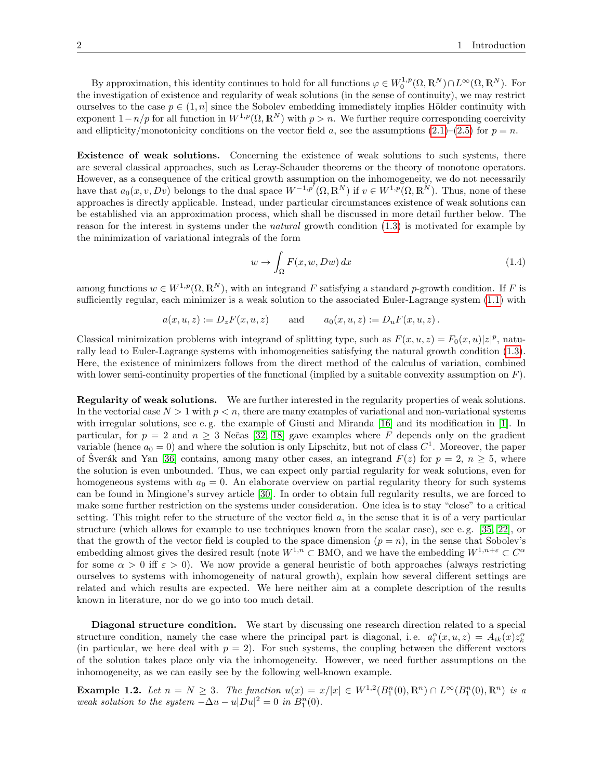By approximation, this identity continues to hold for all functions  $\varphi \in W_0^{1,p}(\Omega,\mathbb{R}^N) \cap L^\infty(\Omega,\mathbb{R}^N)$ . For the investigation of existence and regularity of weak solutions (in the sense of continuity), we may restrict ourselves to the case  $p \in (1, n]$  since the Sobolev embedding immediately implies Hölder continuity with exponent  $1-n/p$  for all function in  $W^{1,p}(\Omega,\mathbb{R}^N)$  with  $p > n$ . We further require corresponding coercivity and ellipticity/monotonicity conditions on the vector field a, see the assumptions  $(2.1)$ – $(2.5)$  for  $p = n$ .

Existence of weak solutions. Concerning the existence of weak solutions to such systems, there are several classical approaches, such as Leray-Schauder theorems or the theory of monotone operators. However, as a consequence of the critical growth assumption on the inhomogeneity, we do not necessarily have that  $a_0(x, v, Dv)$  belongs to the dual space  $W^{-1,p'}(\Omega, \mathbb{R}^N)$  if  $v \in W^{1,p}(\Omega, \mathbb{R}^N)$ . Thus, none of these approaches is directly applicable. Instead, under particular circumstances existence of weak solutions can be established via an approximation process, which shall be discussed in more detail further below. The reason for the interest in systems under the *natural* growth condition [\(1.3\)](#page-0-1) is motivated for example by the minimization of variational integrals of the form

<span id="page-1-1"></span>
$$
w \to \int_{\Omega} F(x, w, Dw) dx \tag{1.4}
$$

among functions  $w \in W^{1,p}(\Omega,\mathbb{R}^N)$ , with an integrand F satisfying a standard p-growth condition. If F is sufficiently regular, each minimizer is a weak solution to the associated Euler-Lagrange system [\(1.1\)](#page-0-0) with

$$
a(x, u, z) := D_z F(x, u, z)
$$
 and  $a_0(x, u, z) := D_u F(x, u, z)$ .

Classical minimization problems with integrand of splitting type, such as  $F(x, u, z) = F_0(x, u)|z|^p$ , naturally lead to Euler-Lagrange systems with inhomogeneities satisfying the natural growth condition [\(1.3\)](#page-0-1). Here, the existence of minimizers follows from the direct method of the calculus of variation, combined with lower semi-continuity properties of the functional (implied by a suitable convexity assumption on  $F$ ).

Regularity of weak solutions. We are further interested in the regularity properties of weak solutions. In the vectorial case  $N > 1$  with  $p < n$ , there are many examples of variational and non-variational systems with irregular solutions, see e.g. the example of Giusti and Miranda [\[16\]](#page-23-0) and its modification in [\[1\]](#page-22-0). In particular, for  $p = 2$  and  $n \ge 3$  Nečas [\[32,](#page-23-1) [18\]](#page-23-2) gave examples where F depends only on the gradient variable (hence  $a_0 = 0$ ) and where the solution is only Lipschitz, but not of class  $C<sup>1</sup>$ . Moreover, the paper of Šverák and Yan [\[36\]](#page-24-0) contains, among many other cases, an integrand  $F(z)$  for  $p = 2, n \geq 5$ , where the solution is even unbounded. Thus, we can expect only partial regularity for weak solutions, even for homogeneous systems with  $a_0 = 0$ . An elaborate overview on partial regularity theory for such systems can be found in Mingione's survey article [\[30\]](#page-23-3). In order to obtain full regularity results, we are forced to make some further restriction on the systems under consideration. One idea is to stay "close" to a critical setting. This might refer to the structure of the vector field  $a$ , in the sense that it is of a very particular structure (which allows for example to use techniques known from the scalar case), see e. g. [\[35,](#page-24-1) [22\]](#page-23-4), or that the growth of the vector field is coupled to the space dimension  $(p = n)$ , in the sense that Sobolev's embedding almost gives the desired result (note  $W^{1,n} \subset BMO$ , and we have the embedding  $W^{1,n+\varepsilon} \subset C^{\alpha}$ for some  $\alpha > 0$  iff  $\varepsilon > 0$ ). We now provide a general heuristic of both approaches (always restricting ourselves to systems with inhomogeneity of natural growth), explain how several different settings are related and which results are expected. We here neither aim at a complete description of the results known in literature, nor do we go into too much detail.

Diagonal structure condition. We start by discussing one research direction related to a special structure condition, namely the case where the principal part is diagonal, i.e.  $a_i^{\alpha}(x, u, z) = A_{ik}(x)z_k^{\alpha}$ (in particular, we here deal with  $p = 2$ ). For such systems, the coupling between the different vectors of the solution takes place only via the inhomogeneity. However, we need further assumptions on the inhomogeneity, as we can easily see by the following well-known example.

<span id="page-1-0"></span>**Example 1.2.** Let  $n = N \ge 3$ . The function  $u(x) = x/|x| \in W^{1,2}(B_1^n(0), \mathbb{R}^n) \cap L^{\infty}(B_1^n(0), \mathbb{R}^n)$  is a weak solution to the system  $-\Delta u - u|Du|^2 = 0$  in  $B_1^n(0)$ .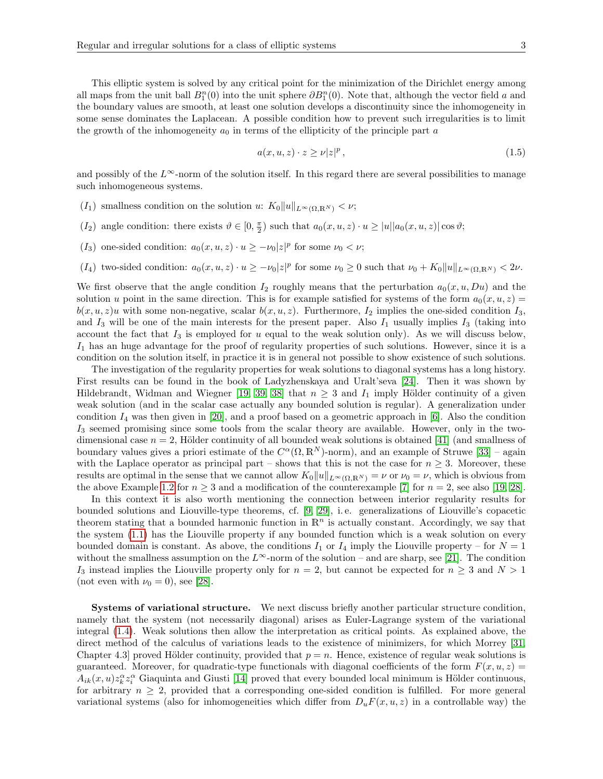This elliptic system is solved by any critical point for the minimization of the Dirichlet energy among all maps from the unit ball  $B_1^n(0)$  into the unit sphere  $\partial B_1^n(0)$ . Note that, although the vector field a and the boundary values are smooth, at least one solution develops a discontinuity since the inhomogeneity in some sense dominates the Laplacean. A possible condition how to prevent such irregularities is to limit the growth of the inhomogeneity  $a_0$  in terms of the ellipticity of the principle part a

$$
a(x, u, z) \cdot z \ge \nu |z|^p \,, \tag{1.5}
$$

and possibly of the  $L^{\infty}$ -norm of the solution itself. In this regard there are several possibilities to manage such inhomogeneous systems.

- $(I_1)$  smallness condition on the solution u:  $K_0||u||_{L^{\infty}(\Omega,\mathbb{R}^N)} < \nu;$
- $(I_2)$  angle condition: there exists  $\theta \in [0, \frac{\pi}{2})$  such that  $a_0(x, u, z) \cdot u \ge |u||a_0(x, u, z)| \cos \theta$ ;
- (I<sub>3</sub>) one-sided condition:  $a_0(x, u, z) \cdot u \geq -\nu_0 |z|^p$  for some  $\nu_0 < \nu$ ;
- $(I_4)$  two-sided condition:  $a_0(x, u, z) \cdot u \geq -\nu_0 |z|^p$  for some  $\nu_0 \geq 0$  such that  $\nu_0 + K_0 \|u\|_{L^{\infty}(\Omega, \mathbb{R}^N)} < 2\nu$ .

We first observe that the angle condition  $I_2$  roughly means that the perturbation  $a_0(x, u, Du)$  and the solution u point in the same direction. This is for example satisfied for systems of the form  $a_0(x, u, z) =$  $b(x, u, z)u$  with some non-negative, scalar  $b(x, u, z)$ . Furthermore,  $I_2$  implies the one-sided condition  $I_3$ , and  $I_3$  will be one of the main interests for the present paper. Also  $I_1$  usually implies  $I_3$  (taking into account the fact that  $I_3$  is employed for u equal to the weak solution only). As we will discuss below,  $I_1$  has an huge advantage for the proof of regularity properties of such solutions. However, since it is a condition on the solution itself, in practice it is in general not possible to show existence of such solutions.

The investigation of the regularity properties for weak solutions to diagonal systems has a long history. First results can be found in the book of Ladyzhenskaya and Uralt'seva [\[24\]](#page-23-5). Then it was shown by Hildebrandt, Widman and Wiegner [\[19,](#page-23-6) [39,](#page-24-2) [38\]](#page-24-3) that  $n \geq 3$  and  $I_1$  imply Hölder continuity of a given weak solution (and in the scalar case actually any bounded solution is regular). A generalization under condition  $I_4$  was then given in [\[20\]](#page-23-7), and a proof based on a geometric approach in [\[6\]](#page-23-8). Also the condition  $I_3$  seemed promising since some tools from the scalar theory are available. However, only in the twodimensional case  $n = 2$ , Hölder continuity of all bounded weak solutions is obtained [\[41\]](#page-24-4) (and smallness of boundary values gives a priori estimate of the  $C^{\alpha}(\Omega, \mathbb{R}^{N})$ -norm), and an example of Struwe [\[33\]](#page-23-9) – again with the Laplace operator as principal part – shows that this is not the case for  $n \geq 3$ . Moreover, these results are optimal in the sense that we cannot allow  $K_0||u||_{L^{\infty}(\Omega,\mathbb{R}^N)} = \nu$  or  $\nu_0 = \nu$ , which is obvious from the above Example [1.2](#page-1-0) for  $n \geq 3$  and a modification of the counterexample [\[7\]](#page-23-10) for  $n = 2$ , see also [\[19,](#page-23-6) [28\]](#page-23-11).

In this context it is also worth mentioning the connection between interior regularity results for bounded solutions and Liouville-type theorems, cf. [\[9,](#page-23-12) [29\]](#page-23-13), i. e. generalizations of Liouville's copacetic theorem stating that a bounded harmonic function in  $\mathbb{R}^n$  is actually constant. Accordingly, we say that the system [\(1.1\)](#page-0-0) has the Liouville property if any bounded function which is a weak solution on every bounded domain is constant. As above, the conditions  $I_1$  or  $I_4$  imply the Liouville property – for  $N = 1$ without the smallness assumption on the  $L^{\infty}$ -norm of the solution – and are sharp, see [\[21\]](#page-23-14). The condition I<sub>3</sub> instead implies the Liouville property only for  $n = 2$ , but cannot be expected for  $n \geq 3$  and  $N > 1$ (not even with  $\nu_0 = 0$ ), see [\[28\]](#page-23-11).

Systems of variational structure. We next discuss briefly another particular structure condition, namely that the system (not necessarily diagonal) arises as Euler-Lagrange system of the variational integral [\(1.4\)](#page-1-1). Weak solutions then allow the interpretation as critical points. As explained above, the direct method of the calculus of variations leads to the existence of minimizers, for which Morrey [\[31,](#page-23-15) Chapter 4.3] proved Hölder continuity, provided that  $p = n$ . Hence, existence of regular weak solutions is guaranteed. Moreover, for quadratic-type functionals with diagonal coefficients of the form  $F(x, u, z) =$  $A_{ik}(x, u)z_k^{\alpha}z_i^{\alpha}$  Giaquinta and Giusti [\[14\]](#page-23-16) proved that every bounded local minimum is Hölder continuous, for arbitrary  $n \geq 2$ , provided that a corresponding one-sided condition is fulfilled. For more general variational systems (also for inhomogeneities which differ from  $D_uF(x, u, z)$  in a controllable way) the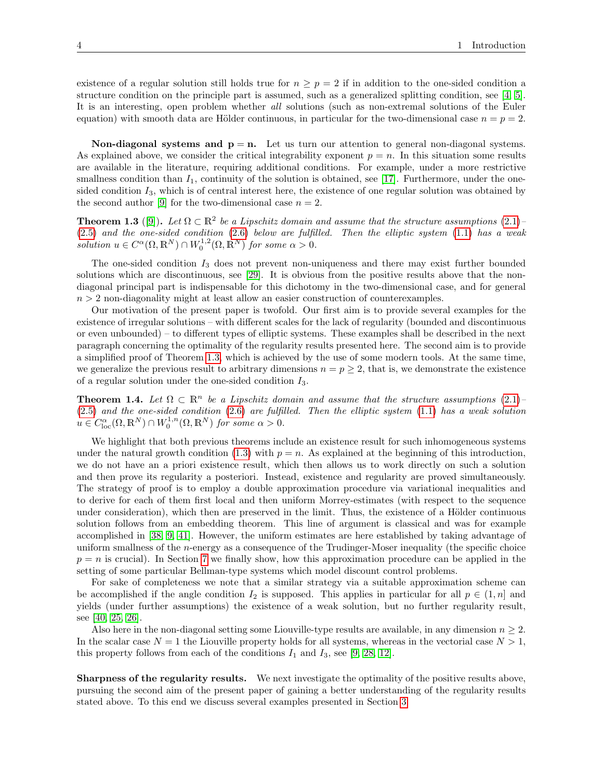existence of a regular solution still holds true for  $n \geq p = 2$  if in addition to the one-sided condition a structure condition on the principle part is assumed, such as a generalized splitting condition, see [\[4,](#page-23-17) [5\]](#page-23-18). It is an interesting, open problem whether all solutions (such as non-extremal solutions of the Euler equation) with smooth data are Hölder continuous, in particular for the two-dimensional case  $n = p = 2$ .

**Non-diagonal systems and**  $p = n$ **.** Let us turn our attention to general non-diagonal systems. As explained above, we consider the critical integrability exponent  $p = n$ . In this situation some results are available in the literature, requiring additional conditions. For example, under a more restrictive smallness condition than  $I_1$ , continuity of the solution is obtained, see [\[17\]](#page-23-19). Furthermore, under the onesided condition  $I_3$ , which is of central interest here, the existence of one regular solution was obtained by the second author [\[9\]](#page-23-12) for the two-dimensional case  $n = 2$ .

<span id="page-3-0"></span>**Theorem 1.3** ([\[9\]](#page-23-12)). Let  $\Omega \subset \mathbb{R}^2$  be a Lipschitz domain and assume that the structure assumptions [\(2.1\)](#page-4-0)-[\(2.5\)](#page-5-0) and the one-sided condition [\(2.6\)](#page-5-1) below are fulfilled. Then the elliptic system [\(1.1\)](#page-0-0) has a weak solution  $u \in C^{\alpha}(\Omega, \mathbb{R}^N) \cap W_0^{1,2}(\Omega, \mathbb{R}^N)$  for some  $\alpha > 0$ .

The one-sided condition  $I_3$  does not prevent non-uniqueness and there may exist further bounded solutions which are discontinuous, see [\[29\]](#page-23-13). It is obvious from the positive results above that the nondiagonal principal part is indispensable for this dichotomy in the two-dimensional case, and for general  $n > 2$  non-diagonality might at least allow an easier construction of counterexamples.

Our motivation of the present paper is twofold. Our first aim is to provide several examples for the existence of irregular solutions – with different scales for the lack of regularity (bounded and discontinuous or even unbounded) – to different types of elliptic systems. These examples shall be described in the next paragraph concerning the optimality of the regularity results presented here. The second aim is to provide a simplified proof of Theorem [1.3,](#page-3-0) which is achieved by the use of some modern tools. At the same time, we generalize the previous result to arbitrary dimensions  $n = p \geq 2$ , that is, we demonstrate the existence of a regular solution under the one-sided condition  $I_3$ .

<span id="page-3-1"></span>**Theorem 1.4.** Let  $\Omega \subset \mathbb{R}^n$  be a Lipschitz domain and assume that the structure assumptions [\(2.1\)](#page-4-0)– [\(2.5\)](#page-5-0) and the one-sided condition [\(2.6\)](#page-5-1) are fulfilled. Then the elliptic system [\(1.1\)](#page-0-0) has a weak solution  $u \in C^{\alpha}_{loc}(\Omega,\mathbb{R}^N) \cap W_0^{1,n}(\Omega,\mathbb{R}^N)$  for some  $\alpha > 0$ .

We highlight that both previous theorems include an existence result for such inhomogeneous systems under the natural growth condition [\(1.3\)](#page-0-1) with  $p = n$ . As explained at the beginning of this introduction, we do not have an a priori existence result, which then allows us to work directly on such a solution and then prove its regularity a posteriori. Instead, existence and regularity are proved simultaneously. The strategy of proof is to employ a double approximation procedure via variational inequalities and to derive for each of them first local and then uniform Morrey-estimates (with respect to the sequence under consideration), which then are preserved in the limit. Thus, the existence of a Hölder continuous solution follows from an embedding theorem. This line of argument is classical and was for example accomplished in [\[38,](#page-24-3) [9,](#page-23-12) [41\]](#page-24-4). However, the uniform estimates are here established by taking advantage of uniform smallness of the n-energy as a consequence of the Trudinger-Moser inequality (the specific choice  $p = n$  is crucial). In Section [7](#page-20-0) we finally show, how this approximation procedure can be applied in the setting of some particular Bellman-type systems which model discount control problems.

For sake of completeness we note that a similar strategy via a suitable approximation scheme can be accomplished if the angle condition  $I_2$  is supposed. This applies in particular for all  $p \in (1, n]$  and yields (under further assumptions) the existence of a weak solution, but no further regularity result, see [\[40,](#page-24-5) [25,](#page-23-20) [26\]](#page-23-21).

Also here in the non-diagonal setting some Liouville-type results are available, in any dimension  $n \geq 2$ . In the scalar case  $N = 1$  the Liouville property holds for all systems, whereas in the vectorial case  $N > 1$ , this property follows from each of the conditions  $I_1$  and  $I_3$ , see [\[9,](#page-23-12) [28,](#page-23-11) [12\]](#page-23-22).

Sharpness of the regularity results. We next investigate the optimality of the positive results above, pursuing the second aim of the present paper of gaining a better understanding of the regularity results stated above. To this end we discuss several examples presented in Section [3.](#page-5-2)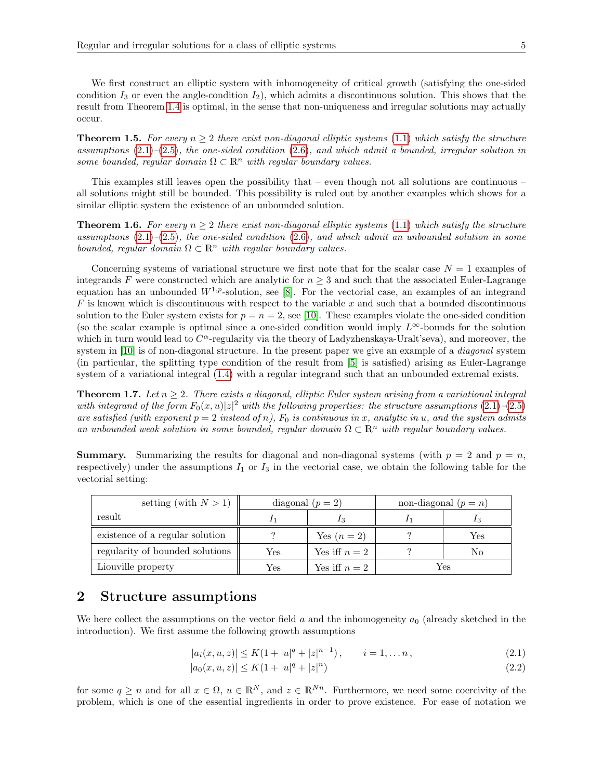We first construct an elliptic system with inhomogeneity of critical growth (satisfying the one-sided condition  $I_3$  or even the angle-condition  $I_2$ ), which admits a discontinuous solution. This shows that the result from Theorem [1.4](#page-3-1) is optimal, in the sense that non-uniqueness and irregular solutions may actually occur.

<span id="page-4-3"></span>**Theorem 1.5.** For every  $n \geq 2$  there exist non-diagonal elliptic systems [\(1.1\)](#page-0-0) which satisfy the structure assumptions  $(2.1)$ – $(2.5)$ , the one-sided condition  $(2.6)$ , and which admit a bounded, irregular solution in some bounded, regular domain  $\Omega \subset \mathbb{R}^n$  with regular boundary values.

This examples still leaves open the possibility that – even though not all solutions are continuous – all solutions might still be bounded. This possibility is ruled out by another examples which shows for a similar elliptic system the existence of an unbounded solution.

<span id="page-4-4"></span>**Theorem 1.6.** For every  $n \geq 2$  there exist non-diagonal elliptic systems [\(1.1\)](#page-0-0) which satisfy the structure assumptions  $(2.1)$ – $(2.5)$ , the one-sided condition  $(2.6)$ , and which admit an unbounded solution in some bounded, regular domain  $\Omega \subset \mathbb{R}^n$  with regular boundary values.

Concerning systems of variational structure we first note that for the scalar case  $N = 1$  examples of integrands F were constructed which are analytic for  $n \geq 3$  and such that the associated Euler-Lagrange equation has an unbounded  $W^{1,p}$ -solution, see [\[8\]](#page-23-23). For the vectorial case, an examples of an integrand  $F$  is known which is discontinuous with respect to the variable  $x$  and such that a bounded discontinuous solution to the Euler system exists for  $p = n = 2$ , see [\[10\]](#page-23-24). These examples violate the one-sided condition (so the scalar example is optimal since a one-sided condition would imply  $L^{\infty}$ -bounds for the solution which in turn would lead to  $C^{\alpha}$ -regularity via the theory of Ladyzhenskaya-Uralt'seva), and moreover, the system in [\[10\]](#page-23-24) is of non-diagonal structure. In the present paper we give an example of a *diagonal* system (in particular, the splitting type condition of the result from [\[5\]](#page-23-18) is satisfied) arising as Euler-Lagrange system of a variational integral [\(1.4\)](#page-1-1) with a regular integrand such that an unbounded extremal exists.

<span id="page-4-5"></span>**Theorem 1.7.** Let  $n \geq 2$ . There exists a diagonal, elliptic Euler system arising from a variational integral with integrand of the form  $F_0(x, u)|z|^2$  with the following properties: the structure assumptions  $(2.1)$ - $(2.5)$ are satisfied (with exponent  $p = 2$  instead of n),  $F_0$  is continuous in x, analytic in u, and the system admits an unbounded weak solution in some bounded, regular domain  $\Omega \subset \mathbb{R}^n$  with regular boundary values.

**Summary.** Summarizing the results for diagonal and non-diagonal systems (with  $p = 2$  and  $p = n$ , respectively) under the assumptions  $I_1$  or  $I_3$  in the vectorial case, we obtain the following table for the vectorial setting:

| setting (with $N > 1$ )         | diagonal $(p = 2)$ |               | non-diagonal $(p = n)$ |     |
|---------------------------------|--------------------|---------------|------------------------|-----|
| result                          |                    |               |                        |     |
| existence of a regular solution |                    | Yes $(n=2)$   |                        | Yes |
| regularity of bounded solutions | Yes                | Yes iff $n=2$ |                        | No  |
| Liouville property              | Yes                | Yes iff $n=2$ | Yes                    |     |

# <span id="page-4-1"></span>2 Structure assumptions

We here collect the assumptions on the vector field a and the inhomogeneity  $a_0$  (already sketched in the introduction). We first assume the following growth assumptions

<span id="page-4-0"></span>
$$
|a_i(x, u, z)| \le K(1 + |u|^q + |z|^{n-1}), \qquad i = 1, \dots n,
$$
\n(2.1)

<span id="page-4-2"></span>
$$
|a_0(x, u, z)| \le K(1 + |u|^q + |z|^n)
$$
\n(2.2)

for some  $q \ge n$  and for all  $x \in \Omega$ ,  $u \in \mathbb{R}^N$ , and  $z \in \mathbb{R}^{N_n}$ . Furthermore, we need some coercivity of the problem, which is one of the essential ingredients in order to prove existence. For ease of notation we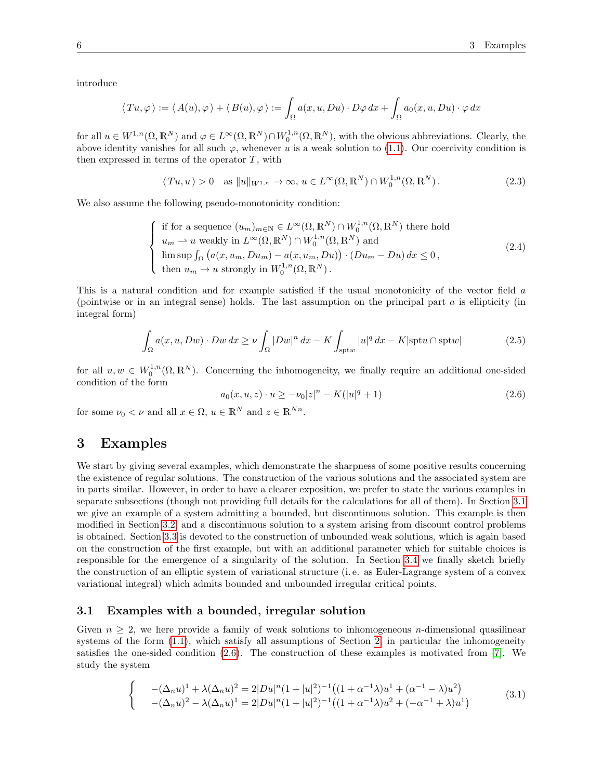introduce

$$
\langle Tu, \varphi \rangle := \langle A(u), \varphi \rangle + \langle B(u), \varphi \rangle := \int_{\Omega} a(x, u, Du) \cdot D\varphi \, dx + \int_{\Omega} a_0(x, u, Du) \cdot \varphi \, dx
$$

for all  $u \in W^{1,n}(\Omega,\mathbb{R}^N)$  and  $\varphi \in L^{\infty}(\Omega,\mathbb{R}^N) \cap W_0^{1,n}(\Omega,\mathbb{R}^N)$ , with the obvious abbreviations. Clearly, the above identity vanishes for all such  $\varphi$ , whenever u is a weak solution to [\(1.1\)](#page-0-0). Our coercivity condition is then expressed in terms of the operator  $T$ , with

<span id="page-5-4"></span>
$$
\langle Tu, u \rangle > 0 \quad \text{as } \|u\|_{W^{1,n}} \to \infty, \, u \in L^{\infty}(\Omega, \mathbb{R}^N) \cap W_0^{1,n}(\Omega, \mathbb{R}^N).
$$
 (2.3)

We also assume the following pseudo-monotonicity condition:

<span id="page-5-5"></span>
$$
\begin{cases}\n\text{if for a sequence } (u_m)_{m \in \mathbb{N}} \in L^{\infty}(\Omega, \mathbb{R}^N) \cap W_0^{1,n}(\Omega, \mathbb{R}^N) \text{ there hold} \\
u_m \rightharpoonup u \text{ weakly in } L^{\infty}(\Omega, \mathbb{R}^N) \cap W_0^{1,n}(\Omega, \mathbb{R}^N) \text{ and} \\
\limsup_{m \to \infty} \int_{\Omega} \left( a(x, u_m, Du_m) - a(x, u_m, Du) \right) \cdot \left( Du_m - Du \right) dx \leq 0, \\
\text{then } u_m \to u \text{ strongly in } W_0^{1,n}(\Omega, \mathbb{R}^N).\n\end{cases} \tag{2.4}
$$

This is a natural condition and for example satisfied if the usual monotonicity of the vector field a (pointwise or in an integral sense) holds. The last assumption on the principal part  $a$  is ellipticity (in integral form)

<span id="page-5-0"></span>
$$
\int_{\Omega} a(x, u, Dw) \cdot Dw \, dx \ge \nu \int_{\Omega} |Dw|^n \, dx - K \int_{\text{spt}w} |u|^q \, dx - K |\text{spt}u \cap \text{spt}w| \tag{2.5}
$$

for all  $u, w \in W_0^{1,n}(\Omega, \mathbb{R}^N)$ . Concerning the inhomogeneity, we finally require an additional one-sided condition of the form

<span id="page-5-1"></span>
$$
a_0(x, u, z) \cdot u \ge -\nu_0 |z|^n - K(|u|^q + 1)
$$
\n(2.6)

for some  $\nu_0 < \nu$  and all  $x \in \Omega$ ,  $u \in \mathbb{R}^N$  and  $z \in \mathbb{R}^{N_n}$ .

## <span id="page-5-2"></span>3 Examples

We start by giving several examples, which demonstrate the sharpness of some positive results concerning the existence of regular solutions. The construction of the various solutions and the associated system are in parts similar. However, in order to have a clearer exposition, we prefer to state the various examples in separate subsections (though not providing full details for the calculations for all of them). In Section [3.1](#page-5-3) we give an example of a system admitting a bounded, but discontinuous solution. This example is then modified in Section [3.2,](#page-7-0) and a discontinuous solution to a system arising from discount control problems is obtained. Section [3.3](#page-9-0) is devoted to the construction of unbounded weak solutions, which is again based on the construction of the first example, but with an additional parameter which for suitable choices is responsible for the emergence of a singularity of the solution. In Section [3.4](#page-12-0) we finally sketch briefly the construction of an elliptic system of variational structure (i. e. as Euler-Lagrange system of a convex variational integral) which admits bounded and unbounded irregular critical points.

### <span id="page-5-3"></span>3.1 Examples with a bounded, irregular solution

Given  $n \geq 2$ , we here provide a family of weak solutions to inhomogeneous *n*-dimensional quasilinear systems of the form [\(1.1\)](#page-0-0), which satisfy all assumptions of Section [2,](#page-4-1) in particular the inhomogeneity satisfies the one-sided condition [\(2.6\)](#page-5-1). The construction of these examples is motivated from [\[7\]](#page-23-10). We study the system

<span id="page-5-6"></span>
$$
\begin{cases}\n-(\Delta_n u)^1 + \lambda (\Delta_n u)^2 = 2|Du|^n (1+|u|^2)^{-1} \left( (1+\alpha^{-1}\lambda)u^1 + (\alpha^{-1}-\lambda)u^2 \right) \\
-(\Delta_n u)^2 - \lambda (\Delta_n u)^1 = 2|Du|^n (1+|u|^2)^{-1} \left( (1+\alpha^{-1}\lambda)u^2 + (-\alpha^{-1}+\lambda)u^1 \right)\n\end{cases} (3.1)
$$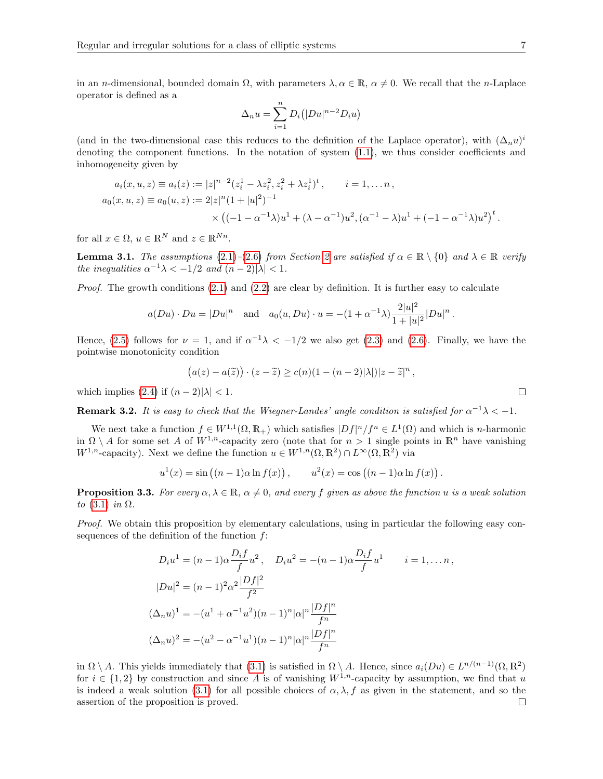in an *n*-dimensional, bounded domain  $\Omega$ , with parameters  $\lambda, \alpha \in \mathbb{R}$ ,  $\alpha \neq 0$ . We recall that the *n*-Laplace operator is defined as a

$$
\Delta_n u = \sum_{i=1}^n D_i (|Du|^{n-2}D_i u)
$$

(and in the two-dimensional case this reduces to the definition of the Laplace operator), with  $(\Delta_n u)^i$ denoting the component functions. In the notation of system [\(1.1\)](#page-0-0), we thus consider coefficients and inhomogeneity given by

$$
a_i(x, u, z) \equiv a_i(z) := |z|^{n-2} (z_i^1 - \lambda z_i^2, z_i^2 + \lambda z_i^1)^t, \qquad i = 1, \dots n,
$$
  
\n
$$
a_0(x, u, z) \equiv a_0(u, z) := 2|z|^n (1 + |u|^2)^{-1}
$$
  
\n
$$
\times ((-1 - \alpha^{-1} \lambda)u^1 + (\lambda - \alpha^{-1})u^2, (\alpha^{-1} - \lambda)u^1 + (-1 - \alpha^{-1} \lambda)u^2)^t
$$

for all  $x \in \Omega$ ,  $u \in \mathbb{R}^N$  and  $z \in \mathbb{R}^{Nn}$ .

<span id="page-6-0"></span>**Lemma 3.1.** The assumptions [\(2.1\)](#page-4-0)–[\(2.6\)](#page-5-1) from Section [2](#page-4-1) are satisfied if  $\alpha \in \mathbb{R} \setminus \{0\}$  and  $\lambda \in \mathbb{R}$  verify the inequalities  $\alpha^{-1}\lambda < -1/2$  and  $(n-2)|\lambda| < 1$ .

*Proof.* The growth conditions  $(2.1)$  and  $(2.2)$  are clear by definition. It is further easy to calculate

$$
a(Du) \cdot Du = |Du|^n
$$
 and  $a_0(u, Du) \cdot u = -(1 + \alpha^{-1}\lambda) \frac{2|u|^2}{1+|u|^2} |Du|^n$ .

Hence, [\(2.5\)](#page-5-0) follows for  $\nu = 1$ , and if  $\alpha^{-1}\lambda < -1/2$  we also get [\(2.3\)](#page-5-4) and [\(2.6\)](#page-5-1). Finally, we have the pointwise monotonicity condition

$$
(a(z) - a(\tilde{z})) \cdot (z - \tilde{z}) \ge c(n)(1 - (n-2)|\lambda|)|z - \tilde{z}|^n,
$$

which implies [\(2.4\)](#page-5-5) if  $(n-2)|\lambda| < 1$ .

**Remark 3.2.** It is easy to check that the Wiegner-Landes' angle condition is satisfied for  $\alpha^{-1}\lambda < -1$ .

We next take a function  $f \in W^{1,1}(\Omega,\mathbb{R}_+)$  which satisfies  $|Df|^n/f^n \in L^1(\Omega)$  and which is *n*-harmonic in  $\Omega \setminus A$  for some set A of  $W^{1,n}$ -capacity zero (note that for  $n > 1$  single points in  $\mathbb{R}^n$  have vanishing  $W^{1,n}$ -capacity). Next we define the function  $u \in W^{1,n}(\Omega,\mathbb{R}^2) \cap L^{\infty}(\Omega,\mathbb{R}^2)$  via

$$
u^{1}(x) = \sin ((n - 1)\alpha \ln f(x)), \qquad u^{2}(x) = \cos ((n - 1)\alpha \ln f(x)).
$$

**Proposition 3.3.** For every  $\alpha, \lambda \in \mathbb{R}$ ,  $\alpha \neq 0$ , and every f given as above the function u is a weak solution to  $(3.1)$  in  $\Omega$ .

Proof. We obtain this proposition by elementary calculations, using in particular the following easy consequences of the definition of the function  $f$ :

$$
D_i u^1 = (n-1)\alpha \frac{D_i f}{f} u^2, \quad D_i u^2 = -(n-1)\alpha \frac{D_i f}{f} u^1 \qquad i = 1, \dots n,
$$
  

$$
|Du|^2 = (n-1)^2 \alpha^2 \frac{|Df|^2}{f^2}
$$
  

$$
(\Delta_n u)^1 = -(u^1 + \alpha^{-1} u^2)(n-1)^n |\alpha|^n \frac{|Df|^n}{f^n}
$$
  

$$
(\Delta_n u)^2 = -(u^2 - \alpha^{-1} u^1)(n-1)^n |\alpha|^n \frac{|Df|^n}{f^n}
$$

in  $\Omega \setminus A$ . This yields immediately that  $(3.1)$  is satisfied in  $\Omega \setminus A$ . Hence, since  $a_i(Du) \in L^{n/(n-1)}(\Omega, \mathbb{R}^2)$ for  $i \in \{1,2\}$  by construction and since A is of vanishing  $W^{1,n}$ -capacity by assumption, we find that u is indeed a weak solution [\(3.1\)](#page-5-6) for all possible choices of  $\alpha, \lambda, f$  as given in the statement, and so the assertion of the proposition is proved. $\Box$ 

 $\Box$ 

.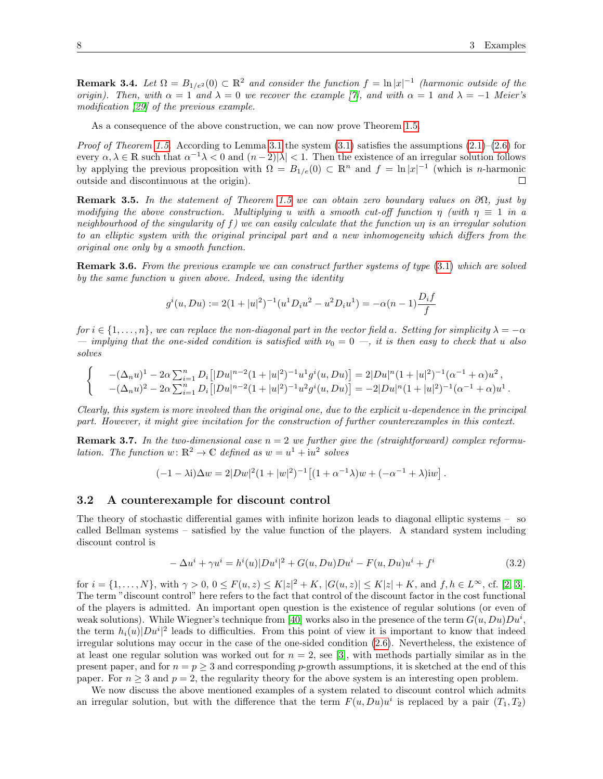**Remark 3.4.** Let  $\Omega = B_{1/e^2}(0) \subset \mathbb{R}^2$  and consider the function  $f = \ln |x|^{-1}$  (harmonic outside of the origin). Then, with  $\alpha = 1$  and  $\lambda = 0$  we recover the example [\[7\]](#page-23-10), and with  $\alpha = 1$  and  $\lambda = -1$  Meier's modification [\[29\]](#page-23-13) of the previous example.

As a consequence of the above construction, we can now prove Theorem [1.5.](#page-4-3)

*Proof of Theorem [1.5.](#page-4-3)* According to Lemma [3.1](#page-6-0) the system  $(3.1)$  satisfies the assumptions  $(2.1)$ – $(2.6)$  for every  $\alpha, \lambda \in \mathbb{R}$  such that  $\alpha^{-1}\lambda < 0$  and  $(n-2)|\lambda| < 1$ . Then the existence of an irregular solution follows by applying the previous proposition with  $\Omega = B_{1/e}(0) \subset \mathbb{R}^n$  and  $f = \ln |x|^{-1}$  (which is *n*-harmonic outside and discontinuous at the origin).  $\Box$ 

**Remark 3.5.** In the statement of Theorem [1.5](#page-4-3) we can obtain zero boundary values on  $\partial\Omega$ , just by modifying the above construction. Multiplying u with a smooth cut-off function  $\eta$  (with  $\eta \equiv 1$  in a neighbourhood of the singularity of f) we can easily calculate that the function un is an irregular solution to an elliptic system with the original principal part and a new inhomogeneity which differs from the original one only by a smooth function.

Remark 3.6. From the previous example we can construct further systems of type [\(3.1\)](#page-5-6) which are solved by the same function u given above. Indeed, using the identity

$$
g^{i}(u, Du) := 2(1 + |u|^{2})^{-1}(u^{1}D_{i}u^{2} - u^{2}D_{i}u^{1}) = -\alpha(n - 1)\frac{D_{i}f}{f}
$$

for  $i \in \{1, \ldots, n\}$ , we can replace the non-diagonal part in the vector field a. Setting for simplicity  $\lambda = -\alpha$ — implying that the one-sided condition is satisfied with  $\nu_0 = 0$  —, it is then easy to check that u also solves

$$
\begin{cases}\n-(\Delta_n u)^1 - 2\alpha \sum_{i=1}^n D_i \left[ |Du|^{n-2} (1+|u|^2)^{-1} u^1 g^i(u, Du) \right] = 2|Du|^n (1+|u|^2)^{-1} (\alpha^{-1} + \alpha) u^2, \\
-(\Delta_n u)^2 - 2\alpha \sum_{i=1}^n D_i \left[ |Du|^{n-2} (1+|u|^2)^{-1} u^2 g^i(u, Du) \right] = -2|Du|^n (1+|u|^2)^{-1} (\alpha^{-1} + \alpha) u^1.\n\end{cases}
$$

Clearly, this system is more involved than the original one, due to the explicit u-dependence in the principal part. However, it might give incitation for the construction of further counterexamples in this context.

**Remark 3.7.** In the two-dimensional case  $n = 2$  we further give the (straightforward) complex reformulation. The function  $w: \mathbb{R}^2 \to \mathbb{C}$  defined as  $w = u^1 + i u^2$  solves

$$
(-1 - \lambda i)\Delta w = 2|Dw|^2(1+|w|^2)^{-1} [(1+\alpha^{-1}\lambda)w + (-\alpha^{-1}+\lambda)iw].
$$

#### <span id="page-7-0"></span>3.2 A counterexample for discount control

The theory of stochastic differential games with infinite horizon leads to diagonal elliptic systems – so called Bellman systems – satisfied by the value function of the players. A standard system including discount control is

<span id="page-7-1"></span>
$$
-\Delta u^{i} + \gamma u^{i} = h^{i}(u)|Du^{i}|^{2} + G(u, Du)Du^{i} - F(u, Du)u^{i} + f^{i}
$$
\n(3.2)

for  $i = \{1, ..., N\}$ , with  $\gamma > 0$ ,  $0 \le F(u, z) \le K|z|^2 + K$ ,  $|G(u, z)| \le K|z| + K$ , and  $f, h \in L^{\infty}$ , cf. [\[2,](#page-22-1) [3\]](#page-22-2). The term "discount control" here refers to the fact that control of the discount factor in the cost functional of the players is admitted. An important open question is the existence of regular solutions (or even of weak solutions). While Wiegner's technique from [\[40\]](#page-24-5) works also in the presence of the term  $G(u, Du)Du^i$ , the term  $h_i(u)|Du^i|^2$  leads to difficulties. From this point of view it is important to know that indeed irregular solutions may occur in the case of the one-sided condition [\(2.6\)](#page-5-1). Nevertheless, the existence of at least one regular solution was worked out for  $n = 2$ , see [\[3\]](#page-22-2), with methods partially similar as in the present paper, and for  $n = p > 3$  and corresponding p-growth assumptions, it is sketched at the end of this paper. For  $n \geq 3$  and  $p = 2$ , the regularity theory for the above system is an interesting open problem.

We now discuss the above mentioned examples of a system related to discount control which admits an irregular solution, but with the difference that the term  $F(u, Du)u^i$  is replaced by a pair  $(T_1, T_2)$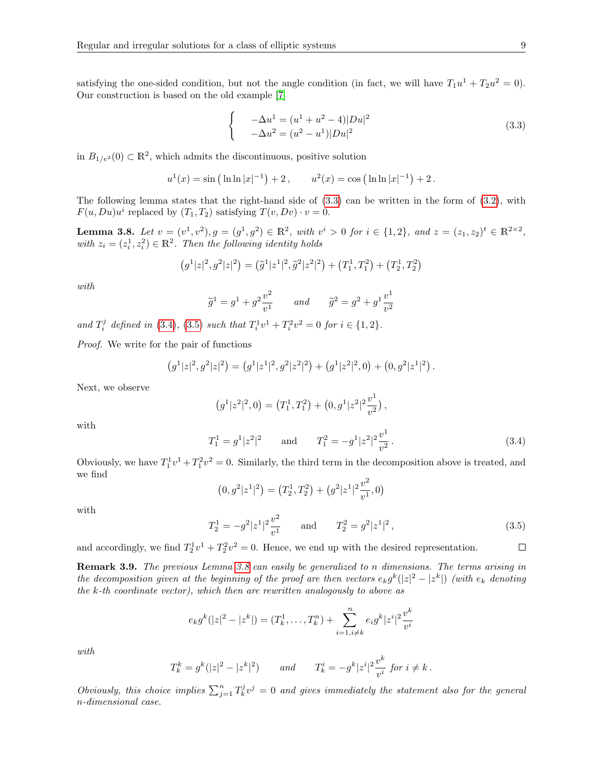satisfying the one-sided condition, but not the angle condition (in fact, we will have  $T_1u^1 + T_2u^2 = 0$ ). Our construction is based on the old example [\[7\]](#page-23-10)

<span id="page-8-0"></span>
$$
\begin{cases}\n-\Delta u^1 = (u^1 + u^2 - 4)|Du|^2 \\
-\Delta u^2 = (u^2 - u^1)|Du|^2\n\end{cases}
$$
\n(3.3)

in  $B_{1/e^2}(0) \subset \mathbb{R}^2$ , which admits the discontinuous, positive solution

$$
u^1(x) = \sin (\ln \ln |x|^{-1}) + 2
$$
,  $u^2(x) = \cos (\ln \ln |x|^{-1}) + 2$ .

The following lemma states that the right-hand side of [\(3.3\)](#page-8-0) can be written in the form of [\(3.2\)](#page-7-1), with  $F(u, Du)u^i$  replaced by  $(T_1, T_2)$  satisfying  $T(v, Dv) \cdot v = 0$ .

<span id="page-8-3"></span>**Lemma 3.8.** Let  $v = (v^1, v^2), g = (g^1, g^2) \in \mathbb{R}^2$ , with  $v^i > 0$  for  $i \in \{1, 2\}$ , and  $z = (z_1, z_2)^t \in \mathbb{R}^{2 \times 2}$ , with  $z_i = (z_i^1, z_i^2) \in \mathbb{R}^2$ . Then the following identity holds

$$
(g1|z|2, g2|z|2) = (\tilde{g}1|z1|2, \tilde{g}2|z2|2) + (T11, T12) + (T21, T22)
$$

with

$$
\widetilde{g}^1 = g^1 + g^2 \frac{v^2}{v^1}
$$
 and  $\widetilde{g}^2 = g^2 + g^1 \frac{v^1}{v^2}$ 

and  $T_i^j$  defined in [\(3.4\)](#page-8-1), [\(3.5\)](#page-8-2) such that  $T_i^1v^1 + T_i^2v^2 = 0$  for  $i \in \{1, 2\}$ .

Proof. We write for the pair of functions

$$
(g1|z|2, g2|z|2) = (g1|z1|2, g2|z2|2) + (g1|z2|2, 0) + (0, g2|z1|2) .
$$

Next, we observe

$$
(g^1|z^2|^2,0) = (T_1^1,T_1^2) + (0,g^1|z^2|^2 \frac{v^1}{v^2}),
$$

with

<span id="page-8-1"></span>
$$
T_1^1 = g^1 |z^2|^2 \quad \text{and} \quad T_1^2 = -g^1 |z^2|^2 \frac{v^1}{v^2}.
$$
 (3.4)

Obviously, we have  $T_1^1v^1 + T_1^2v^2 = 0$ . Similarly, the third term in the decomposition above is treated, and we find

$$
(0, g2|z1|2) = (T21, T22) + (g2|z1|2 \frac{v2}{v1}, 0)
$$

with

<span id="page-8-2"></span>
$$
T_2^1 = -g^2|z^1|^2 \frac{v^2}{v^1} \quad \text{and} \quad T_2^2 = g^2|z^1|^2, \tag{3.5}
$$

and accordingly, we find  $T_2^1 v^1 + T_2^2 v^2 = 0$ . Hence, we end up with the desired representation.

Remark 3.9. The previous Lemma [3.8](#page-8-3) can easily be generalized to n dimensions. The terms arising in the decomposition given at the beginning of the proof are then vectors  $e_k g^k(|z|^2 - |z^k|)$  (with  $e_k$  denoting the k-th coordinate vector), which then are rewritten analogously to above as

$$
e_k g^k(|z|^2 - |z^k|) = (T_k^1, \dots, T_k^n) + \sum_{i=1, i \neq k}^n e_i g^k |z^i|^2 \frac{v^k}{v^i}
$$

with

$$
T_k^k = g^k(|z|^2 - |z^k|^2) \qquad and \qquad T_k^i = -g^k |z^i|^2 \frac{v^k}{v^i} \text{ for } i \neq k \, .
$$

Obviously, this choice implies  $\sum_{j=1}^{n} T_k^j v^j = 0$  and gives immediately the statement also for the general n-dimensional case.

 $\Box$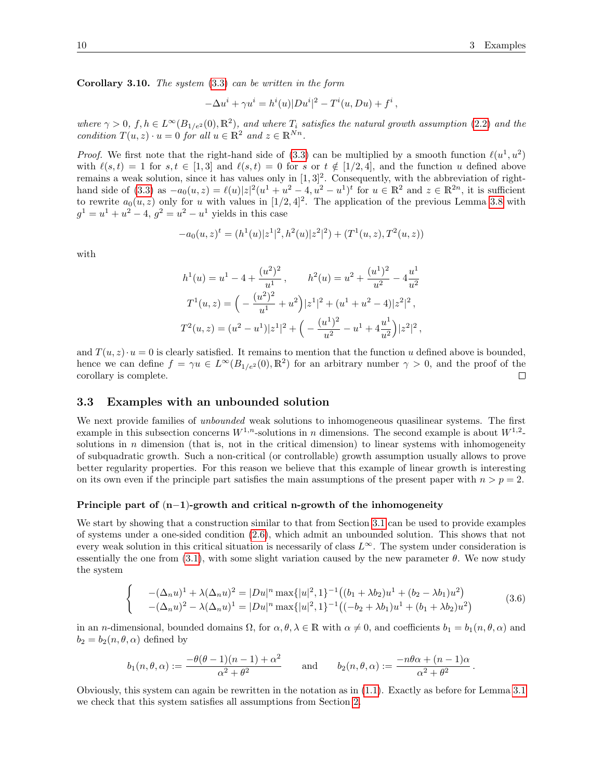.

Corollary 3.10. The system [\(3.3\)](#page-8-0) can be written in the form

$$
-\Delta u^i + \gamma u^i = h^i(u)|Du^i|^2 - T^i(u, Du) + f^i,
$$

where  $\gamma > 0$ ,  $f, h \in L^{\infty}(B_{1/e^2}(0), \mathbb{R}^2)$ , and where  $T_i$  satisfies the natural growth assumption [\(2.2\)](#page-4-2) and the condition  $T(u, z) \cdot u = 0$  for all  $u \in \mathbb{R}^2$  and  $z \in \mathbb{R}^{Nn}$ .

*Proof.* We first note that the right-hand side of [\(3.3\)](#page-8-0) can be multiplied by a smooth function  $\ell(u^1, u^2)$ with  $\ell(s, t) = 1$  for  $s, t \in [1, 3]$  and  $\ell(s, t) = 0$  for s or  $t \notin [1/2, 4]$ , and the function u defined above remains a weak solution, since it has values only in  $[1,3]^2$ . Consequently, with the abbreviation of right-hand side of [\(3.3\)](#page-8-0) as  $-a_0(u, z) = \ell(u)|z|^2(u^1 + u^2 - 4, u^2 - u^1)^t$  for  $u \in \mathbb{R}^2$  and  $z \in \mathbb{R}^{2n}$ , it is sufficient to rewrite  $a_0(u, z)$  only for u with values in  $[1/2, 4]^2$ . The application of the previous Lemma [3.8](#page-8-3) with  $g^1 = u^1 + u^2 - 4$ ,  $g^2 = u^2 - u^1$  yields in this case

$$
-a_0(u,z)^t = (h^1(u)|z^1|^2, h^2(u)|z^2|^2) + (T^1(u,z), T^2(u,z))
$$

with

$$
h^{1}(u) = u^{1} - 4 + \frac{(u^{2})^{2}}{u^{1}}, \t h^{2}(u) = u^{2} + \frac{(u^{1})^{2}}{u^{2}} - 4\frac{u^{1}}{u^{2}}
$$

$$
T^{1}(u, z) = \left(-\frac{(u^{2})^{2}}{u^{1}} + u^{2}\right)|z^{1}|^{2} + (u^{1} + u^{2} - 4)|z^{2}|^{2},
$$

$$
T^{2}(u, z) = (u^{2} - u^{1})|z^{1}|^{2} + \left(-\frac{(u^{1})^{2}}{u^{2}} - u^{1} + 4\frac{u^{1}}{u^{2}}\right)|z^{2}|^{2},
$$

and  $T(u, z) \cdot u = 0$  is clearly satisfied. It remains to mention that the function u defined above is bounded, hence we can define  $f = \gamma u \in L^{\infty}(B_{1/e^2}(0), \mathbb{R}^2)$  for an arbitrary number  $\gamma > 0$ , and the proof of the corollary is complete.  $\Box$ 

#### <span id="page-9-0"></span>3.3 Examples with an unbounded solution

We next provide families of *unbounded* weak solutions to inhomogeneous quasilinear systems. The first example in this subsection concerns  $W^{1,n}$ -solutions in n dimensions. The second example is about  $W^{1,2}$ solutions in  $n$  dimension (that is, not in the critical dimension) to linear systems with inhomogeneity of subquadratic growth. Such a non-critical (or controllable) growth assumption usually allows to prove better regularity properties. For this reason we believe that this example of linear growth is interesting on its own even if the principle part satisfies the main assumptions of the present paper with  $n > p = 2$ .

#### Principle part of (n−1)-growth and critical n-growth of the inhomogeneity

We start by showing that a construction similar to that from Section [3.1](#page-5-3) can be used to provide examples of systems under a one-sided condition [\(2.6\)](#page-5-1), which admit an unbounded solution. This shows that not every weak solution in this critical situation is necessarily of class  $L^{\infty}$ . The system under consideration is essentially the one from [\(3.1\)](#page-5-6), with some slight variation caused by the new parameter  $\theta$ . We now study the system

<span id="page-9-1"></span>
$$
\begin{cases}\n-(\Delta_n u)^1 + \lambda(\Delta_n u)^2 = |Du|^n \max\{|u|^2, 1\}^{-1} \left( (b_1 + \lambda b_2) u^1 + (b_2 - \lambda b_1) u^2 \right) \\
-(\Delta_n u)^2 - \lambda(\Delta_n u)^1 = |Du|^n \max\{|u|^2, 1\}^{-1} \left( (-b_2 + \lambda b_1) u^1 + (b_1 + \lambda b_2) u^2 \right)\n\end{cases} \tag{3.6}
$$

in an *n*-dimensional, bounded domains  $\Omega$ , for  $\alpha, \theta, \lambda \in \mathbb{R}$  with  $\alpha \neq 0$ , and coefficients  $b_1 = b_1(n, \theta, \alpha)$  and  $b_2 = b_2(n, \theta, \alpha)$  defined by

$$
b_1(n, \theta, \alpha) := \frac{-\theta(\theta - 1)(n - 1) + \alpha^2}{\alpha^2 + \theta^2} \quad \text{and} \quad b_2(n, \theta, \alpha) := \frac{-n\theta\alpha + (n - 1)\alpha}{\alpha^2 + \theta^2}
$$

Obviously, this system can again be rewritten in the notation as in [\(1.1\)](#page-0-0). Exactly as before for Lemma [3.1](#page-6-0) we check that this system satisfies all assumptions from Section [2.](#page-4-1)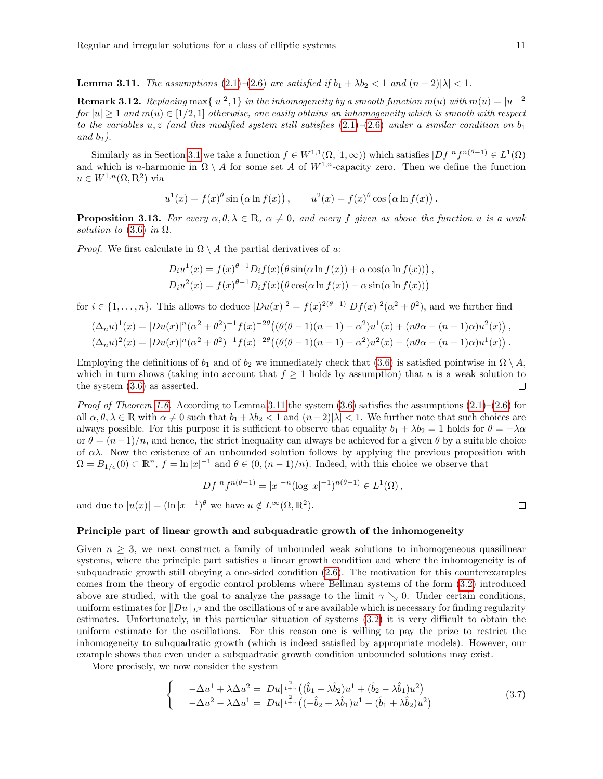<span id="page-10-0"></span>**Lemma 3.11.** The assumptions [\(2.1\)](#page-4-0)–[\(2.6\)](#page-5-1) are satisfied if  $b_1 + \lambda b_2 < 1$  and  $(n-2)|\lambda| < 1$ .

**Remark 3.12.** Replacing max $\{|u|^2, 1\}$  in the inhomogeneity by a smooth function  $m(u)$  with  $m(u) = |u|^{-2}$ for  $|u| \geq 1$  and  $m(u) \in [1/2, 1]$  otherwise, one easily obtains an inhomogeneity which is smooth with respect to the variables u, z (and this modified system still satisfies  $(2.1)$ – $(2.6)$  under a similar condition on  $b_1$ and  $b_2$ ).

Similarly as in Section [3.1](#page-5-3) we take a function  $f \in W^{1,1}(\Omega,[1,\infty))$  which satisfies  $|Df|^n f^{n(\theta-1)} \in L^1(\Omega)$ and which is n-harmonic in  $\Omega \setminus A$  for some set A of  $W^{1,n}$ -capacity zero. Then we define the function  $u \in W^{1,n}(\Omega,\mathbb{R}^2)$  via

$$
u^{1}(x) = f(x)^{\theta} \sin (\alpha \ln f(x)), \qquad u^{2}(x) = f(x)^{\theta} \cos (\alpha \ln f(x)).
$$

<span id="page-10-2"></span>**Proposition 3.13.** For every  $\alpha, \theta, \lambda \in \mathbb{R}$ ,  $\alpha \neq 0$ , and every f given as above the function u is a weak solution to  $(3.6)$  in  $\Omega$ .

*Proof.* We first calculate in  $\Omega \setminus A$  the partial derivatives of u:

$$
D_i u^1(x) = f(x)^{\theta - 1} D_i f(x) (\theta \sin(\alpha \ln f(x)) + \alpha \cos(\alpha \ln f(x))) ,
$$
  
\n
$$
D_i u^2(x) = f(x)^{\theta - 1} D_i f(x) (\theta \cos(\alpha \ln f(x)) - \alpha \sin(\alpha \ln f(x)))
$$

for  $i \in \{1,\ldots,n\}$ . This allows to deduce  $|Du(x)|^2 = f(x)^{2(\theta-1)}|Df(x)|^2(\alpha^2+\theta^2)$ , and we further find

$$
(\Delta_n u)^1(x) = |Du(x)|^n(\alpha^2 + \theta^2)^{-1} f(x)^{-2\theta} ((\theta(\theta - 1)(n - 1) - \alpha^2)u^1(x) + (n\theta\alpha - (n - 1)\alpha)u^2(x)),
$$
  

$$
(\Delta_n u)^2(x) = |Du(x)|^n(\alpha^2 + \theta^2)^{-1} f(x)^{-2\theta} ((\theta(\theta - 1)(n - 1) - \alpha^2)u^2(x) - (n\theta\alpha - (n - 1)\alpha)u^1(x)).
$$

Employing the definitions of  $b_1$  and of  $b_2$  we immediately check that [\(3.6\)](#page-9-1) is satisfied pointwise in  $\Omega \setminus A$ , which in turn shows (taking into account that  $f \geq 1$  holds by assumption) that u is a weak solution to the system [\(3.6\)](#page-9-1) as asserted.  $\Box$ 

*Proof of Theorem [1.6.](#page-4-4)* According to Lemma [3.11](#page-10-0) the system  $(3.6)$  satisfies the assumptions  $(2.1)$ – $(2.6)$  for all  $\alpha, \theta, \lambda \in \mathbb{R}$  with  $\alpha \neq 0$  such that  $b_1 + \lambda b_2 < 1$  and  $(n-2)|\lambda| < 1$ . We further note that such choices are always possible. For this purpose it is sufficient to observe that equality  $b_1 + \lambda b_2 = 1$  holds for  $\theta = -\lambda \alpha$ or  $\theta = (n-1)/n$ , and hence, the strict inequality can always be achieved for a given  $\theta$  by a suitable choice of  $\alpha\lambda$ . Now the existence of an unbounded solution follows by applying the previous proposition with  $\Omega = B_{1/e}(0) \subset \mathbb{R}^n$ ,  $f = \ln |x|^{-1}$  and  $\theta \in (0, (n-1)/n)$ . Indeed, with this choice we observe that

$$
|Df|^{n} f^{n(\theta - 1)} = |x|^{-n} (\log |x|^{-1})^{n(\theta - 1)} \in L^{1}(\Omega),
$$

and due to  $|u(x)| = (\ln |x|^{-1})^{\theta}$  we have  $u \notin L^{\infty}(\Omega, \mathbb{R}^2)$ .

Principle part of linear growth and subquadratic growth of the inhomogeneity

Given  $n \geq 3$ , we next construct a family of unbounded weak solutions to inhomogeneous quasilinear systems, where the principle part satisfies a linear growth condition and where the inhomogeneity is of subquadratic growth still obeying a one-sided condition [\(2.6\)](#page-5-1). The motivation for this counterexamples comes from the theory of ergodic control problems where Bellman systems of the form [\(3.2\)](#page-7-1) introduced above are studied, with the goal to analyze the passage to the limit  $\gamma \searrow 0$ . Under certain conditions, uniform estimates for  $||Du||_{L^2}$  and the oscillations of u are available which is necessary for finding regularity estimates. Unfortunately, in this particular situation of systems [\(3.2\)](#page-7-1) it is very difficult to obtain the uniform estimate for the oscillations. For this reason one is willing to pay the prize to restrict the inhomogeneity to subquadratic growth (which is indeed satisfied by appropriate models). However, our example shows that even under a subquadratic growth condition unbounded solutions may exist.

More precisely, we now consider the system

<span id="page-10-1"></span>
$$
\begin{cases}\n-\Delta u^1 + \lambda \Delta u^2 = |Du|^{\frac{2}{1+\gamma}} \left( (\hat{b}_1 + \lambda \hat{b}_2) u^1 + (\hat{b}_2 - \lambda \hat{b}_1) u^2 \right) \\
-\Delta u^2 - \lambda \Delta u^1 = |Du|^{\frac{2}{1+\gamma}} \left( (-\hat{b}_2 + \lambda \hat{b}_1) u^1 + (\hat{b}_1 + \lambda \hat{b}_2) u^2 \right)\n\end{cases} (3.7)
$$

 $\Box$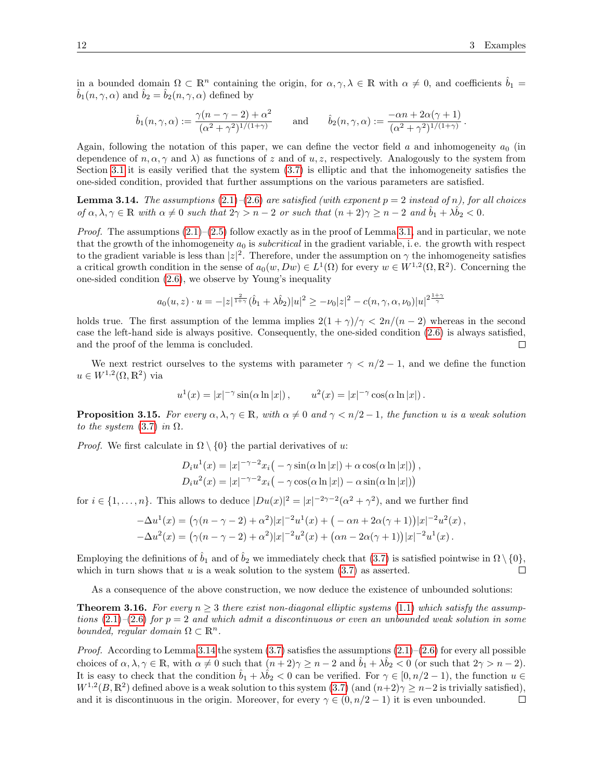in a bounded domain  $\Omega \subset \mathbb{R}^n$  containing the origin, for  $\alpha, \gamma, \lambda \in \mathbb{R}$  with  $\alpha \neq 0$ , and coefficients  $\hat{b}_1 =$  $b_1(n, \gamma, \alpha)$  and  $b_2 = b_2(n, \gamma, \alpha)$  defined by

$$
\hat{b}_1(n,\gamma,\alpha) := \frac{\gamma(n-\gamma-2)+\alpha^2}{(\alpha^2+\gamma^2)^{1/(1+\gamma)}} \quad \text{and} \quad \hat{b}_2(n,\gamma,\alpha) := \frac{-\alpha n + 2\alpha(\gamma+1)}{(\alpha^2+\gamma^2)^{1/(1+\gamma)}}.
$$

Again, following the notation of this paper, we can define the vector field a and inhomogeneity  $a_0$  (in dependence of  $n, \alpha, \gamma$  and  $\lambda$ ) as functions of z and of u, z, respectively. Analogously to the system from Section [3.1](#page-5-3) it is easily verified that the system [\(3.7\)](#page-10-1) is elliptic and that the inhomogeneity satisfies the one-sided condition, provided that further assumptions on the various parameters are satisfied.

<span id="page-11-0"></span>**Lemma 3.14.** The assumptions  $(2.1)$ – $(2.6)$  are satisfied (with exponent  $p = 2$  instead of n), for all choices of  $\alpha, \lambda, \gamma \in \mathbb{R}$  with  $\alpha \neq 0$  such that  $2\gamma > n - 2$  or such that  $(n + 2)\gamma \geq n - 2$  and  $\hat{b}_1 + \lambda \hat{b}_2 < 0$ .

*Proof.* The assumptions  $(2.1)$ – $(2.5)$  follow exactly as in the proof of Lemma [3.1,](#page-6-0) and in particular, we note that the growth of the inhomogeneity  $a_0$  is subcritical in the gradient variable, i.e. the growth with respect to the gradient variable is less than  $|z|^2$ . Therefore, under the assumption on  $\gamma$  the inhomogeneity satisfies a critical growth condition in the sense of  $a_0(w, Dw) \in L^1(\Omega)$  for every  $w \in W^{1,2}(\Omega, \mathbb{R}^2)$ . Concerning the one-sided condition [\(2.6\)](#page-5-1), we observe by Young's inequality

$$
a_0(u, z) \cdot u = -|z|^{\frac{2}{1+\gamma}} (\hat{b}_1 + \lambda \hat{b}_2) |u|^2 \ge -\nu_0 |z|^2 - c(n, \gamma, \alpha, \nu_0) |u|^{2\frac{1+\gamma}{\gamma}}
$$

holds true. The first assumption of the lemma implies  $2(1 + \gamma)/\gamma < 2n/(n-2)$  whereas in the second case the left-hand side is always positive. Consequently, the one-sided condition [\(2.6\)](#page-5-1) is always satisfied, and the proof of the lemma is concluded.  $\Box$ 

We next restrict ourselves to the systems with parameter  $\gamma < n/2 - 1$ , and we define the function  $u \in W^{1,2}(\Omega,\mathbb{R}^2)$  via

$$
u^{1}(x) = |x|^{-\gamma} \sin(\alpha \ln|x|) , \qquad u^{2}(x) = |x|^{-\gamma} \cos(\alpha \ln|x|) .
$$

**Proposition 3.15.** For every  $\alpha, \lambda, \gamma \in \mathbb{R}$ , with  $\alpha \neq 0$  and  $\gamma < n/2 - 1$ , the function u is a weak solution to the system  $(3.7)$  in  $\Omega$ .

*Proof.* We first calculate in  $\Omega \setminus \{0\}$  the partial derivatives of u:

$$
D_i u^1(x) = |x|^{-\gamma - 2} x_i \big( -\gamma \sin(\alpha \ln|x|) + \alpha \cos(\alpha \ln|x|) \big),
$$
  
\n
$$
D_i u^2(x) = |x|^{-\gamma - 2} x_i \big( -\gamma \cos(\alpha \ln|x|) - \alpha \sin(\alpha \ln|x|) \big)
$$

for  $i \in \{1, \ldots, n\}$ . This allows to deduce  $|Du(x)|^2 = |x|^{-2\gamma-2}(\alpha^2 + \gamma^2)$ , and we further find

$$
-\Delta u^{1}(x) = (\gamma(n-\gamma-2) + \alpha^{2})|x|^{-2}u^{1}(x) + (-\alpha n + 2\alpha(\gamma+1))|x|^{-2}u^{2}(x),
$$
  

$$
-\Delta u^{2}(x) = (\gamma(n-\gamma-2) + \alpha^{2})|x|^{-2}u^{2}(x) + (\alpha n - 2\alpha(\gamma+1))|x|^{-2}u^{1}(x).
$$

Employing the definitions of  $\hat{b}_1$  and of  $\hat{b}_2$  we immediately check that [\(3.7\)](#page-10-1) is satisfied pointwise in  $\Omega \setminus \{0\}$ , which in turn shows that  $u$  is a weak solution to the system  $(3.7)$  as asserted.  $\Box$ 

As a consequence of the above construction, we now deduce the existence of unbounded solutions:

**Theorem 3.16.** For every  $n > 3$  there exist non-diagonal elliptic systems [\(1.1\)](#page-0-0) which satisfy the assumptions  $(2.1)$ – $(2.6)$  for  $p = 2$  and which admit a discontinuous or even an unbounded weak solution in some bounded, regular domain  $\Omega \subset \mathbb{R}^n$ .

*Proof.* According to Lemma [3.14](#page-11-0) the system  $(3.7)$  satisfies the assumptions  $(2.1)$ – $(2.6)$  for every all possible choices of  $\alpha, \lambda, \gamma \in \mathbb{R}$ , with  $\alpha \neq 0$  such that  $(n+2)\gamma \geq n-2$  and  $\ddot{b}_1 + \lambda \ddot{b}_2 < 0$  (or such that  $2\gamma > n-2$ ). It is easy to check that the condition  $\hat{b}_1 + \lambda \hat{b}_2 < 0$  can be verified. For  $\gamma \in [0, n/2 - 1)$ , the function  $u \in$  $W^{1,2}(B,\mathbb{R}^2)$  defined above is a weak solution to this system  $(3.7)$  (and  $(n+2)\gamma \geq n-2$  is trivially satisfied), and it is discontinuous in the origin. Moreover, for every  $\gamma \in (0, n/2 - 1)$  it is even unbounded.  $\Box$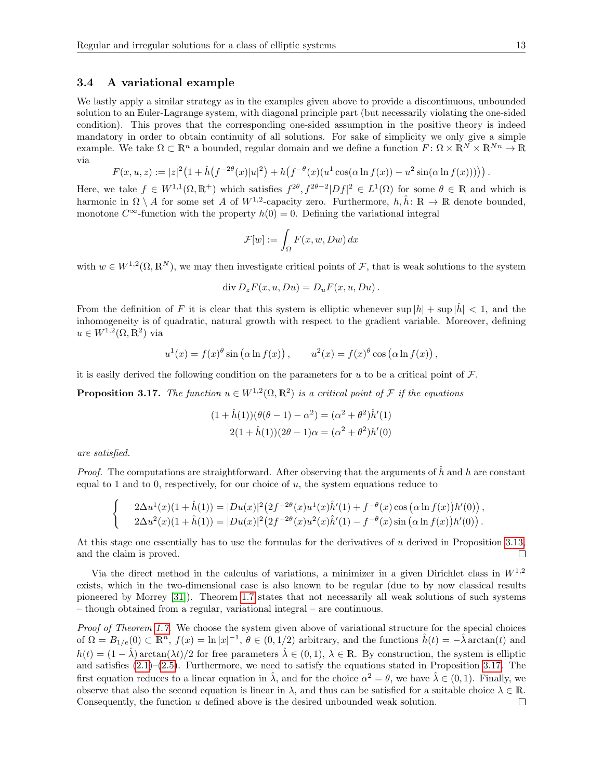#### <span id="page-12-0"></span>3.4 A variational example

We lastly apply a similar strategy as in the examples given above to provide a discontinuous, unbounded solution to an Euler-Lagrange system, with diagonal principle part (but necessarily violating the one-sided condition). This proves that the corresponding one-sided assumption in the positive theory is indeed mandatory in order to obtain continuity of all solutions. For sake of simplicity we only give a simple example. We take  $\Omega \subset \mathbb{R}^n$  a bounded, regular domain and we define a function  $F: \Omega \times \mathbb{R}^N \times \mathbb{R}^{Nn} \to \mathbb{R}$ via

$$
F(x, u, z) := |z|^2 \left(1 + \hat{h} \left(f^{-2\theta}(x)|u|^2\right) + h \left(f^{-\theta}(x)(u^1 \cos(\alpha \ln f(x)) - u^2 \sin(\alpha \ln f(x)))\right)\right).
$$

Here, we take  $f \in W^{1,1}(\Omega,\mathbb{R}^+)$  which satisfies  $f^{2\theta}, f^{2\theta-2}|Df|^2 \in L^1(\Omega)$  for some  $\theta \in \mathbb{R}$  and which is harmonic in  $\Omega \setminus A$  for some set A of  $W^{1,2}$ -capacity zero. Furthermore,  $h, \hat{h}: \mathbb{R} \to \mathbb{R}$  denote bounded, monotone  $C^{\infty}$ -function with the property  $h(0) = 0$ . Defining the variational integral

$$
\mathcal{F}[w] := \int_{\Omega} F(x, w, Dw) \, dx
$$

with  $w \in W^{1,2}(\Omega,\mathbb{R}^N)$ , we may then investigate critical points of F, that is weak solutions to the system

$$
\operatorname{div} D_z F(x, u, Du) = D_u F(x, u, Du).
$$

From the definition of F it is clear that this system is elliptic whenever sup  $|h| + \sup |\hat{h}| < 1$ , and the inhomogeneity is of quadratic, natural growth with respect to the gradient variable. Moreover, defining  $u \in W^{1,2}(\Omega,\mathbb{R}^2)$  via

$$
u^{1}(x) = f(x)^{\theta} \sin (\alpha \ln f(x)), \qquad u^{2}(x) = f(x)^{\theta} \cos (\alpha \ln f(x)),
$$

it is easily derived the following condition on the parameters for u to be a critical point of  $\mathcal{F}$ .

<span id="page-12-1"></span>**Proposition 3.17.** The function  $u \in W^{1,2}(\Omega,\mathbb{R}^2)$  is a critical point of F if the equations

$$
(1 + \hat{h}(1))(\theta(\theta - 1) - \alpha^2) = (\alpha^2 + \theta^2)\hat{h}'(1)
$$
  

$$
2(1 + \hat{h}(1))(2\theta - 1)\alpha = (\alpha^2 + \theta^2)h'(0)
$$

are satisfied.

*Proof.* The computations are straightforward. After observing that the arguments of  $\hat{h}$  and  $h$  are constant equal to 1 and to 0, respectively, for our choice of  $u$ , the system equations reduce to

$$
\begin{cases}\n2\Delta u^{1}(x)(1+\hat{h}(1)) = |Du(x)|^{2}(2f^{-2\theta}(x)u^{1}(x)\hat{h}'(1) + f^{-\theta}(x)\cos(\alpha\ln f(x))h'(0)),\\ \n2\Delta u^{2}(x)(1+\hat{h}(1)) = |Du(x)|^{2}(2f^{-2\theta}(x)u^{2}(x)\hat{h}'(1) - f^{-\theta}(x)\sin(\alpha\ln f(x))h'(0)).\n\end{cases}
$$

At this stage one essentially has to use the formulas for the derivatives of u derived in Proposition [3.13,](#page-10-2) and the claim is proved.  $\Box$ 

Via the direct method in the calculus of variations, a minimizer in a given Dirichlet class in  $W^{1,2}$ exists, which in the two-dimensional case is also known to be regular (due to by now classical results pioneered by Morrey [\[31\]](#page-23-15)). Theorem [1.7](#page-4-5) states that not necessarily all weak solutions of such systems – though obtained from a regular, variational integral – are continuous.

Proof of Theorem [1.7.](#page-4-5) We choose the system given above of variational structure for the special choices of  $\Omega = B_{1/e}(0) \subset \mathbb{R}^n$ ,  $f(x) = \ln |x|^{-1}$ ,  $\theta \in (0, 1/2)$  arbitrary, and the functions  $\hat{h}(t) = -\hat{\lambda} \arctan(t)$  and  $h(t) = (1 - \hat{\lambda}) \arctan(\lambda t)/2$  for free parameters  $\hat{\lambda} \in (0, 1), \lambda \in \mathbb{R}$ . By construction, the system is elliptic and satisfies  $(2.1)$ – $(2.5)$ . Furthermore, we need to satisfy the equations stated in Proposition [3.17.](#page-12-1) The first equation reduces to a linear equation in  $\hat{\lambda}$ , and for the choice  $\alpha^2 = \theta$ , we have  $\hat{\lambda} \in (0,1)$ . Finally, we observe that also the second equation is linear in  $\lambda$ , and thus can be satisfied for a suitable choice  $\lambda \in \mathbb{R}$ . Consequently, the function u defined above is the desired unbounded weak solution. $\Box$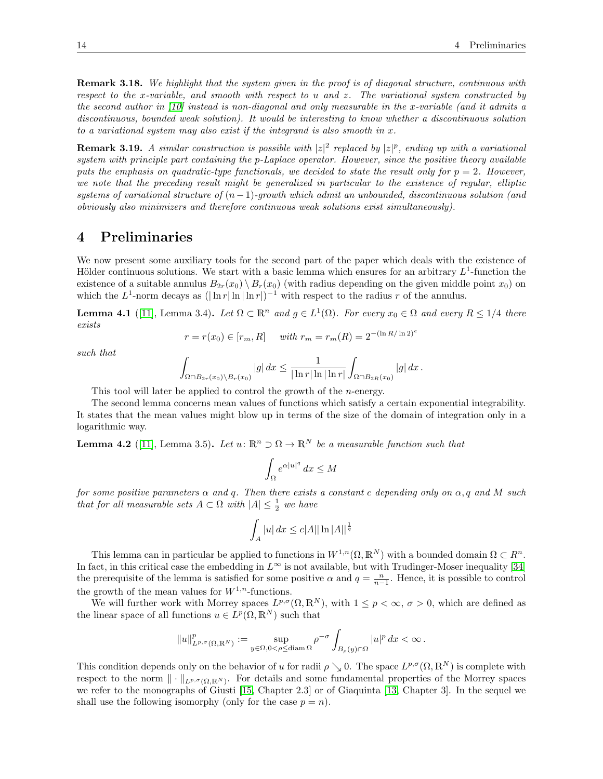**Remark 3.18.** We highlight that the system given in the proof is of diagonal structure, continuous with respect to the x-variable, and smooth with respect to u and z. The variational system constructed by the second author in [\[10\]](#page-23-24) instead is non-diagonal and only measurable in the x-variable (and it admits a discontinuous, bounded weak solution). It would be interesting to know whether a discontinuous solution to a variational system may also exist if the integrand is also smooth in  $x$ .

**Remark 3.19.** A similar construction is possible with  $|z|^2$  replaced by  $|z|^p$ , ending up with a variational system with principle part containing the p-Laplace operator. However, since the positive theory available puts the emphasis on quadratic-type functionals, we decided to state the result only for  $p = 2$ . However, we note that the preceding result might be generalized in particular to the existence of regular, elliptic systems of variational structure of  $(n-1)$ -growth which admit an unbounded, discontinuous solution (and obviously also minimizers and therefore continuous weak solutions exist simultaneously).

### 4 Preliminaries

We now present some auxiliary tools for the second part of the paper which deals with the existence of Hölder continuous solutions. We start with a basic lemma which ensures for an arbitrary  $L^1$ -function the existence of a suitable annulus  $B_{2r}(x_0) \setminus B_r(x_0)$  (with radius depending on the given middle point  $x_0$ ) on which the  $L^1$ -norm decays as  $(|\ln r| \ln |\ln r|)^{-1}$  with respect to the radius r of the annulus.

<span id="page-13-0"></span>**Lemma 4.1** ([\[11\]](#page-23-25), Lemma 3.4). Let  $\Omega \subset \mathbb{R}^n$  and  $g \in L^1(\Omega)$ . For every  $x_0 \in \Omega$  and every  $R \leq 1/4$  there exists

$$
r = r(x_0) \in [r_m, R]
$$
 with  $r_m = r_m(R) = 2^{-(\ln R/\ln 2)^e}$ 

such that

$$
\int_{\Omega \cap B_{2r}(x_0) \backslash B_r(x_0)} |g| \, dx \leq \frac{1}{|\ln r| \ln |\ln r|} \int_{\Omega \cap B_{2R}(x_0)} |g| \, dx \, .
$$

This tool will later be applied to control the growth of the *n*-energy.

The second lemma concerns mean values of functions which satisfy a certain exponential integrability. It states that the mean values might blow up in terms of the size of the domain of integration only in a logarithmic way.

<span id="page-13-1"></span>**Lemma 4.2** ([\[11\]](#page-23-25), Lemma 3.5). Let  $u: \mathbb{R}^n \supset \Omega \to \mathbb{R}^N$  be a measurable function such that

$$
\int_{\Omega} e^{\alpha |u|^q} \, dx \le M
$$

for some positive parameters  $\alpha$  and q. Then there exists a constant c depending only on  $\alpha$ , q and M such that for all measurable sets  $A \subset \Omega$  with  $|A| \leq \frac{1}{2}$  we have

$$
\int_A |u| \, dx \le c|A| |\ln |A||^{\frac{1}{q}}
$$

This lemma can in particular be applied to functions in  $W^{1,n}(\Omega,\mathbb{R}^N)$  with a bounded domain  $\Omega \subset \mathbb{R}^n$ . In fact, in this critical case the embedding in  $L^{\infty}$  is not available, but with Trudinger-Moser inequality [\[34\]](#page-23-26) the prerequisite of the lemma is satisfied for some positive  $\alpha$  and  $q = \frac{n}{n-1}$ . Hence, it is possible to control the growth of the mean values for  $W^{1,n}$ -functions.

We will further work with Morrey spaces  $L^{p,\sigma}(\Omega,\mathbb{R}^N)$ , with  $1 \leq p < \infty$ ,  $\sigma > 0$ , which are defined as the linear space of all functions  $u \in L^p(\Omega, \mathbb{R}^N)$  such that

$$
||u||_{L^{p,\sigma}(\Omega,\mathbb{R}^N)}^p:=\sup_{y\in\Omega,0<\rho\leq\text{diam }\Omega}\rho^{-\sigma}\int_{B_\rho(y)\cap\Omega}|u|^p\,dx<\infty.
$$

This condition depends only on the behavior of u for radii  $\rho \searrow 0$ . The space  $L^{p,\sigma}(\Omega,\mathbb{R}^N)$  is complete with respect to the norm  $\|\cdot\|_{L^{p,\sigma}(\Omega,\mathbb{R}^N)}$ . For details and some fundamental properties of the Morrey spaces we refer to the monographs of Giusti [\[15,](#page-23-27) Chapter 2.3] or of Giaquinta [\[13,](#page-23-28) Chapter 3]. In the sequel we shall use the following isomorphy (only for the case  $p = n$ ).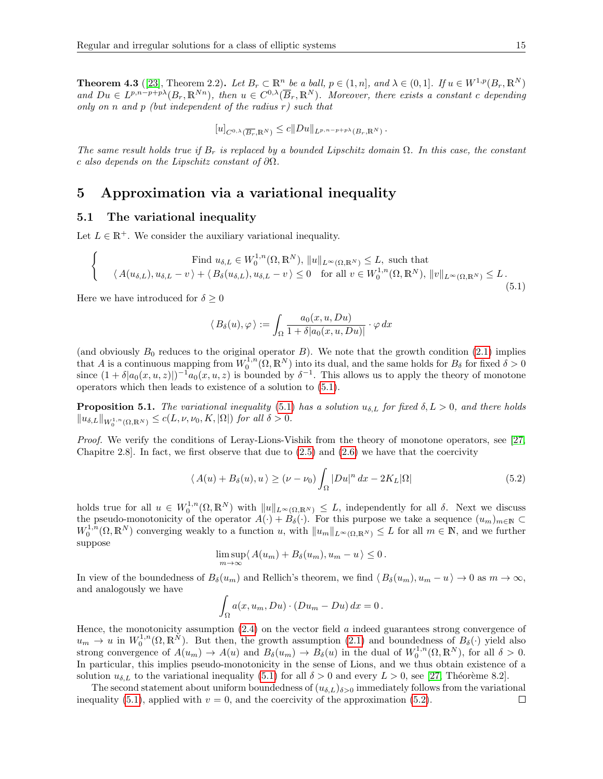<span id="page-14-2"></span>**Theorem 4.3** ([\[23\]](#page-23-29), Theorem 2.2). Let  $B_r \subset \mathbb{R}^n$  be a ball,  $p \in (1, n]$ , and  $\lambda \in (0, 1]$ . If  $u \in W^{1,p}(B_r, \mathbb{R}^N)$ and  $Du \in L^{p,n-p+p\lambda}(B_r,\mathbb{R}^{Nn})$ , then  $u \in C^{0,\lambda}(\overline{B}_r,\mathbb{R}^N)$ . Moreover, there exists a constant c depending only on n and p (but independent of the radius  $r$ ) such that

$$
[u]_{C^{0,\lambda}(\overline{B_r},\mathbb{R}^N)} \leq c||Du||_{L^{p,n-p+p\lambda}(B_r,\mathbb{R}^N)}.
$$

The same result holds true if  $B_r$  is replaced by a bounded Lipschitz domain  $\Omega$ . In this case, the constant c also depends on the Lipschitz constant of  $\partial\Omega$ .

### <span id="page-14-3"></span>5 Approximation via a variational inequality

### 5.1 The variational inequality

Let  $L \in \mathbb{R}^+$ . We consider the auxiliary variational inequality.

<span id="page-14-0"></span>
$$
\begin{cases}\n\text{Find } u_{\delta,L} \in W_0^{1,n}(\Omega, \mathbb{R}^N), \|u\|_{L^\infty(\Omega, \mathbb{R}^N)} \le L, \text{ such that} \\
\langle A(u_{\delta,L}), u_{\delta,L} - v \rangle + \langle B_\delta(u_{\delta,L}), u_{\delta,L} - v \rangle \le 0 \quad \text{for all } v \in W_0^{1,n}(\Omega, \mathbb{R}^N), \|v\|_{L^\infty(\Omega, \mathbb{R}^N)} \le L. \n\end{cases}
$$
\n(5.1)

Here we have introduced for  $\delta \geq 0$ 

$$
\langle B_{\delta}(u), \varphi \rangle := \int_{\Omega} \frac{a_0(x, u, Du)}{1 + \delta |a_0(x, u, Du)|} \cdot \varphi \, dx
$$

(and obviously  $B_0$  reduces to the original operator  $B$ ). We note that the growth condition [\(2.1\)](#page-4-0) implies that A is a continuous mapping from  $W_0^{1,n}(\Omega,\mathbb{R}^N)$  into its dual, and the same holds for  $B_\delta$  for fixed  $\delta > 0$ since  $(1 + \delta |a_0(x, u, z)|)^{-1} a_0(x, u, z)$  is bounded by  $\delta^{-1}$ . This allows us to apply the theory of monotone operators which then leads to existence of a solution to [\(5.1\)](#page-14-0).

<span id="page-14-4"></span>**Proposition 5.1.** The variational inequality [\(5.1\)](#page-14-0) has a solution  $u_{\delta,L}$  for fixed  $\delta, L > 0$ , and there holds  $||u_{\delta,L}||_{W_0^{1,n}(\Omega,\mathbb{R}^N)} \leq c(L,\nu,\nu_0,K,|\Omega|)$  for all  $\delta > 0$ .

Proof. We verify the conditions of Leray-Lions-Vishik from the theory of monotone operators, see [\[27,](#page-23-30) Chapitre 2.8]. In fact, we first observe that due to  $(2.5)$  and  $(2.6)$  we have that the coercivity

<span id="page-14-1"></span>
$$
\langle A(u) + B_{\delta}(u), u \rangle \ge (\nu - \nu_0) \int_{\Omega} |Du|^n dx - 2K_L |\Omega| \tag{5.2}
$$

holds true for all  $u \in W_0^{1,n}(\Omega,\mathbb{R}^N)$  with  $||u||_{L^{\infty}(\Omega,\mathbb{R}^N)} \leq L$ , independently for all  $\delta$ . Next we discuss the pseudo-monotonicity of the operator  $A(\cdot) + B_\delta(\cdot)$ . For this purpose we take a sequence  $(u_m)_{m\in\mathbb{N}}$  $W_0^{1,n}(\Omega,\mathbb{R}^N)$  converging weakly to a function u, with  $||u_m||_{L^\infty(\Omega,\mathbb{R}^N)} \leq L$  for all  $m \in \mathbb{N}$ , and we further suppose

$$
\limsup_{m \to \infty} \langle A(u_m) + B_\delta(u_m), u_m - u \rangle \leq 0.
$$

In view of the boundedness of  $B_\delta(u_m)$  and Rellich's theorem, we find  $\langle B_\delta(u_m), u_m - u \rangle \to 0$  as  $m \to \infty$ , and analogously we have

$$
\int_{\Omega} a(x, u_m, Du) \cdot (Du_m - Du) dx = 0.
$$

Hence, the monotonicity assumption  $(2.4)$  on the vector field  $a$  indeed guarantees strong convergence of  $u_m \to u$  in  $W_0^{1,n}(\Omega,\mathbb{R}^N)$ . But then, the growth assumption [\(2.1\)](#page-4-0) and boundedness of  $B_\delta(\cdot)$  yield also strong convergence of  $A(u_m) \to A(u)$  and  $B_\delta(u_m) \to B_\delta(u)$  in the dual of  $W_0^{1,n}(\Omega,\mathbb{R}^N)$ , for all  $\delta > 0$ . In particular, this implies pseudo-monotonicity in the sense of Lions, and we thus obtain existence of a solution  $u_{\delta,L}$  to the variational inequality [\(5.1\)](#page-14-0) for all  $\delta > 0$  and every  $L > 0$ , see [\[27,](#page-23-30) Théorème 8.2].

The second statement about uniform boundedness of  $(u_{\delta,L})_{\delta>0}$  immediately follows from the variational inequality [\(5.1\)](#page-14-0), applied with  $v = 0$ , and the coercivity of the approximation [\(5.2\)](#page-14-1).  $\Box$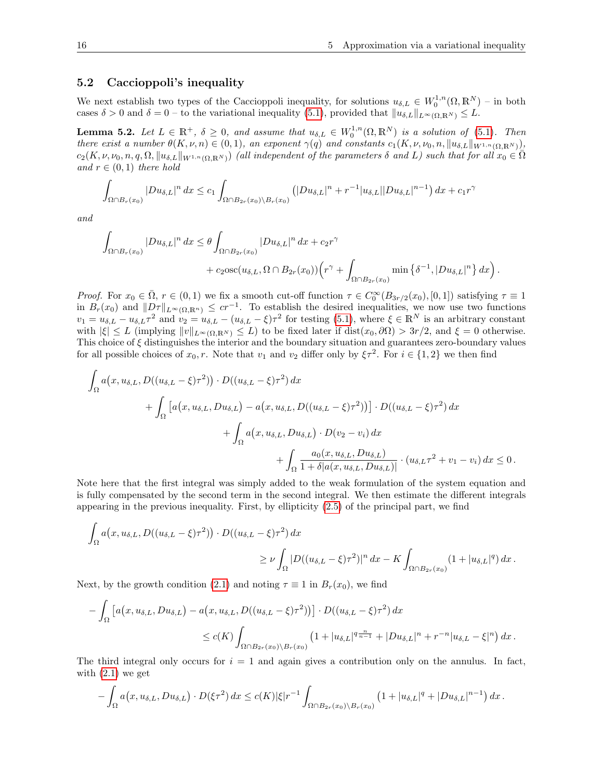### 5.2 Caccioppoli's inequality

We next establish two types of the Caccioppoli inequality, for solutions  $u_{\delta,L} \in W_0^{1,n}(\Omega,\mathbb{R}^N)$  – in both cases  $\delta > 0$  and  $\delta = 0$  – to the variational inequality [\(5.1\)](#page-14-0), provided that  $||u_{\delta,L}||_{L^{\infty}(\Omega,\mathbb{R}^N)} \leq L$ .

<span id="page-15-0"></span>**Lemma 5.2.** Let  $L \in \mathbb{R}^+$ ,  $\delta \geq 0$ , and assume that  $u_{\delta,L} \in W_0^{1,n}(\Omega,\mathbb{R}^N)$  is a solution of [\(5.1\)](#page-14-0). Then there exist a number  $\theta(K, \nu, n) \in (0, 1)$ , an exponent  $\gamma(q)$  and constants  $c_1(K, \nu, \nu_0, n, \|u_{\delta, L}\|_{W^{1,n}(\Omega, \mathbb{R}^N)})$ ,  $c_2(K,\nu,\nu_0,n,q,\Omega,\|u_{\delta,L}\|_{W^{1,n}(\Omega,\mathbb{R}^N)})$  (all independent of the parameters  $\delta$  and L) such that for all  $x_0 \in \overline{\Omega}$ and  $r \in (0,1)$  there hold

$$
\int_{\Omega \cap B_r(x_0)} |Du_{\delta,L}|^n dx \le c_1 \int_{\Omega \cap B_{2r}(x_0) \backslash B_r(x_0)} (|Du_{\delta,L}|^n + r^{-1}|u_{\delta,L}| |Du_{\delta,L}|^{n-1}) dx + c_1 r^{\gamma}
$$

and

$$
\int_{\Omega \cap B_r(x_0)} |Du_{\delta,L}|^n dx \leq \theta \int_{\Omega \cap B_{2r}(x_0)} |Du_{\delta,L}|^n dx + c_2 r^{\gamma} + c_2 \operatorname{osc}(u_{\delta,L}, \Omega \cap B_{2r}(x_0)) \Big( r^{\gamma} + \int_{\Omega \cap B_{2r}(x_0)} \min \left\{ \delta^{-1}, |Du_{\delta,L}|^n \right\} dx \Big).
$$

Proof. For  $x_0 \in \overline{\Omega}$ ,  $r \in (0,1)$  we fix a smooth cut-off function  $\tau \in C_0^{\infty}(B_{3r/2}(x_0), [0,1])$  satisfying  $\tau \equiv 1$ in  $B_r(x_0)$  and  $||D\tau||_{L^\infty(\Omega,\mathbb{R}^n)} \leq c r^{-1}$ . To establish the desired inequalities, we now use two functions  $v_1 = u_{\delta,L} - u_{\delta,L}\tau^2$  and  $v_2 = u_{\delta,L} - (u_{\delta,L} - \xi)\tau^2$  for testing [\(5.1\)](#page-14-0), where  $\xi \in \mathbb{R}^N$  is an arbitrary constant with  $|\xi| \leq L$  (implying  $||v||_{L^{\infty}(\Omega,\mathbb{R}^N)} \leq L$ ) to be fixed later if  $dist(x_0, \partial \Omega) > 3r/2$ , and  $\xi = 0$  otherwise. This choice of  $\xi$  distinguishes the interior and the boundary situation and guarantees zero-boundary values for all possible choices of  $x_0, r$ . Note that  $v_1$  and  $v_2$  differ only by  $\xi \tau^2$ . For  $i \in \{1, 2\}$  we then find

$$
\int_{\Omega} a(x, u_{\delta,L}, D((u_{\delta,L} - \xi)\tau^2)) \cdot D((u_{\delta,L} - \xi)\tau^2) dx \n+ \int_{\Omega} \left[ a(x, u_{\delta,L}, Du_{\delta,L}) - a(x, u_{\delta,L}, D((u_{\delta,L} - \xi)\tau^2)) \right] \cdot D((u_{\delta,L} - \xi)\tau^2) dx \n+ \int_{\Omega} a(x, u_{\delta,L}, Du_{\delta,L}) \cdot D(v_2 - v_i) dx \n+ \int_{\Omega} \frac{a_0(x, u_{\delta,L}, Du_{\delta,L})}{1 + \delta |a(x, u_{\delta,L}, Du_{\delta,L})|} \cdot (u_{\delta,L}\tau^2 + v_1 - v_i) dx \le 0.
$$

Note here that the first integral was simply added to the weak formulation of the system equation and is fully compensated by the second term in the second integral. We then estimate the different integrals appearing in the previous inequality. First, by ellipticity [\(2.5\)](#page-5-0) of the principal part, we find

$$
\int_{\Omega} a(x, u_{\delta,L}, D((u_{\delta,L} - \xi)\tau^2)) \cdot D((u_{\delta,L} - \xi)\tau^2) dx
$$
\n
$$
\geq \nu \int_{\Omega} |D((u_{\delta,L} - \xi)\tau^2)|^n dx - K \int_{\Omega \cap B_{2r}(x_0)} (1 + |u_{\delta,L}|^q) dx.
$$

Next, by the growth condition [\(2.1\)](#page-4-0) and noting  $\tau \equiv 1$  in  $B_r(x_0)$ , we find

$$
- \int_{\Omega} \left[ a(x, u_{\delta,L}, Du_{\delta,L}) - a(x, u_{\delta,L}, D((u_{\delta,L} - \xi)\tau^2)) \right] \cdot D((u_{\delta,L} - \xi)\tau^2) dx
$$
  

$$
\leq c(K) \int_{\Omega \cap B_{2r}(x_0) \backslash B_r(x_0)} \left( 1 + |u_{\delta,L}|^{q\frac{n}{n-1}} + |Du_{\delta,L}|^n + r^{-n}|u_{\delta,L} - \xi|^n \right) dx.
$$

The third integral only occurs for  $i = 1$  and again gives a contribution only on the annulus. In fact, with  $(2.1)$  we get

$$
-\int_{\Omega} a\big(x,u_{\delta,L}, Du_{\delta,L}\big) \cdot D(\xi\tau^2) dx \leq c(K) |\xi| r^{-1} \int_{\Omega \cap B_{2r}(x_0) \backslash B_r(x_0)} \big(1+|u_{\delta,L}|^q+|Du_{\delta,L}|^{n-1}\big) dx.
$$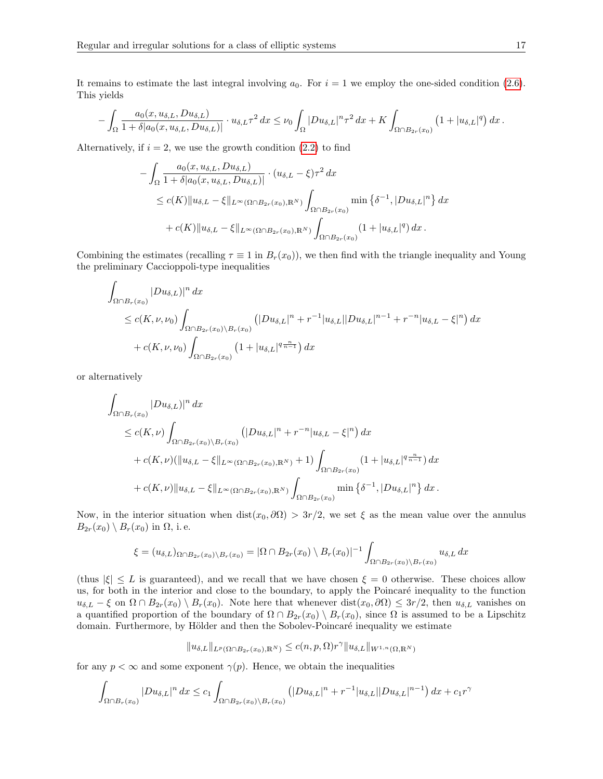It remains to estimate the last integral involving  $a_0$ . For  $i = 1$  we employ the one-sided condition [\(2.6\)](#page-5-1). This yields

$$
-\int_{\Omega}\frac{a_0(x,u_{\delta,L},Du_{\delta,L})}{1+\delta|a_0(x,u_{\delta,L},Du_{\delta,L})|}\cdot u_{\delta,L}\tau^2 dx\leq \nu_0\int_{\Omega}|Du_{\delta,L}|^n\tau^2 dx+K\int_{\Omega\cap B_{2r}(x_0)}\left(1+|u_{\delta,L}|^q\right)dx.
$$

Alternatively, if  $i = 2$ , we use the growth condition  $(2.2)$  to find

$$
- \int_{\Omega} \frac{a_0(x, u_{\delta, L}, Du_{\delta, L})}{1 + \delta |a_0(x, u_{\delta, L}, Du_{\delta, L})|} \cdot (u_{\delta, L} - \xi) \tau^2 dx
$$
  
\n
$$
\leq c(K) ||u_{\delta, L} - \xi||_{L^{\infty}(\Omega \cap B_{2r}(x_0), \mathbb{R}^N)} \int_{\Omega \cap B_{2r}(x_0)} \min \left\{ \delta^{-1}, |Du_{\delta, L}|^n \right\} dx
$$
  
\n
$$
+ c(K) ||u_{\delta, L} - \xi||_{L^{\infty}(\Omega \cap B_{2r}(x_0), \mathbb{R}^N)} \int_{\Omega \cap B_{2r}(x_0)} (1 + |u_{\delta, L}|^q) dx.
$$

Combining the estimates (recalling  $\tau \equiv 1$  in  $B_r(x_0)$ ), we then find with the triangle inequality and Young the preliminary Caccioppoli-type inequalities

$$
\int_{\Omega \cap B_r(x_0)} |Du_{\delta,L})|^n dx
$$
\n
$$
\leq c(K, \nu, \nu_0) \int_{\Omega \cap B_{2r}(x_0) \backslash B_r(x_0)} (|Du_{\delta,L}|^n + r^{-1}|u_{\delta,L}| |Du_{\delta,L}|^{n-1} + r^{-n}|u_{\delta,L} - \xi|^n) dx
$$
\n
$$
+ c(K, \nu, \nu_0) \int_{\Omega \cap B_{2r}(x_0)} (1 + |u_{\delta,L}|^{q\frac{n}{n-1}}) dx
$$

or alternatively

$$
\int_{\Omega \cap B_r(x_0)} |Du_{\delta,L})|^n dx
$$
\n
$$
\leq c(K,\nu) \int_{\Omega \cap B_{2r}(x_0) \backslash B_r(x_0)} (|Du_{\delta,L}|^n + r^{-n}|u_{\delta,L} - \xi|^n) dx
$$
\n
$$
+ c(K,\nu) (\|u_{\delta,L} - \xi\|_{L^{\infty}(\Omega \cap B_{2r}(x_0), \mathbb{R}^N)} + 1) \int_{\Omega \cap B_{2r}(x_0)} (1 + |u_{\delta,L}|^{q\frac{n}{n-1}}) dx
$$
\n
$$
+ c(K,\nu) \|u_{\delta,L} - \xi\|_{L^{\infty}(\Omega \cap B_{2r}(x_0), \mathbb{R}^N)} \int_{\Omega \cap B_{2r}(x_0)} \min \left\{\delta^{-1}, |Du_{\delta,L}|^n \right\} dx.
$$

Now, in the interior situation when  $dist(x_0, \partial \Omega) > 3r/2$ , we set  $\xi$  as the mean value over the annulus  $B_{2r}(x_0) \setminus B_r(x_0)$  in  $\Omega$ , i.e.

$$
\xi = (u_{\delta,L})_{\Omega \cap B_{2r}(x_0) \setminus B_r(x_0)} = |\Omega \cap B_{2r}(x_0) \setminus B_r(x_0)|^{-1} \int_{\Omega \cap B_{2r}(x_0) \setminus B_r(x_0)} u_{\delta,L} dx
$$

(thus  $|\xi| \leq L$  is guaranteed), and we recall that we have chosen  $\xi = 0$  otherwise. These choices allow us, for both in the interior and close to the boundary, to apply the Poincaré inequality to the function  $u_{\delta,L} - \xi$  on  $\Omega \cap B_{2r}(x_0) \setminus B_r(x_0)$ . Note here that whenever dist $(x_0, \partial \Omega) \leq 3r/2$ , then  $u_{\delta,L}$  vanishes on a quantified proportion of the boundary of  $\Omega \cap B_{2r}(x_0) \setminus B_r(x_0)$ , since  $\Omega$  is assumed to be a Lipschitz domain. Furthermore, by Hölder and then the Sobolev-Poincaré inequality we estimate

$$
||u_{\delta,L}||_{L^p(\Omega \cap B_{2r}(x_0),\mathbb{R}^N)} \leq c(n,p,\Omega)r^{\gamma}||u_{\delta,L}||_{W^{1,n}(\Omega,\mathbb{R}^N)}
$$

for any  $p < \infty$  and some exponent  $\gamma(p)$ . Hence, we obtain the inequalities

$$
\int_{\Omega \cap B_r(x_0)} |Du_{\delta,L}|^n dx \leq c_1 \int_{\Omega \cap B_{2r}(x_0) \backslash B_r(x_0)} (|Du_{\delta,L}|^n + r^{-1}|u_{\delta,L}| |Du_{\delta,L}|^{n-1}) dx + c_1 r^{\gamma}
$$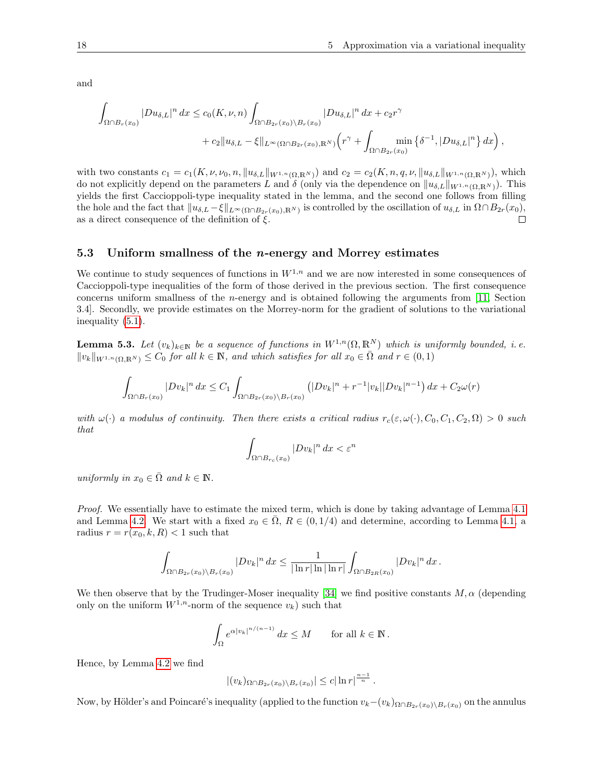and

$$
\int_{\Omega \cap B_r(x_0)} |Du_{\delta,L}|^n dx \le c_0(K,\nu,n) \int_{\Omega \cap B_{2r}(x_0) \backslash B_r(x_0)} |Du_{\delta,L}|^n dx + c_2 r^{\gamma} + c_2 \|u_{\delta,L} - \xi\|_{L^{\infty}(\Omega \cap B_{2r}(x_0),\mathbb{R}^N)} \left(r^{\gamma} + \int_{\Omega \cap B_{2r}(x_0)} \min\left\{\delta^{-1}, |Du_{\delta,L}|^n\right\} dx\right),
$$

with two constants  $c_1 = c_1(K, \nu, \nu_0, n, \|u_{\delta, L}\|_{W^{1,n}(\Omega, \mathbb{R}^N)})$  and  $c_2 = c_2(K, n, q, \nu, \|u_{\delta, L}\|_{W^{1,n}(\Omega, \mathbb{R}^N)})$ , which do not explicitly depend on the parameters L and  $\delta$  (only via the dependence on  $||u_{\delta,L}||_{W^{1,n}(\Omega,\mathbb{R}^N)}$ ). This yields the first Caccioppoli-type inequality stated in the lemma, and the second one follows from filling the hole and the fact that  $||u_{\delta,L} - \xi||_{L^{\infty}(\Omega \cap B_{2r}(x_0), \mathbb{R}^N)}$  is controlled by the oscillation of  $u_{\delta,L}$  in  $\Omega \cap B_{2r}(x_0)$ , as a direct consequence of the definition of  $\xi$ . П

#### 5.3 Uniform smallness of the *n*-energy and Morrey estimates

We continue to study sequences of functions in  $W^{1,n}$  and we are now interested in some consequences of Caccioppoli-type inequalities of the form of those derived in the previous section. The first consequence concerns uniform smallness of the n-energy and is obtained following the arguments from [\[11,](#page-23-25) Section 3.4]. Secondly, we provide estimates on the Morrey-norm for the gradient of solutions to the variational inequality [\(5.1\)](#page-14-0).

<span id="page-17-0"></span>**Lemma 5.3.** Let  $(v_k)_{k\in\mathbb{N}}$  be a sequence of functions in  $W^{1,n}(\Omega,\mathbb{R}^N)$  which is uniformly bounded, i.e.  $||v_k||_{W^{1,n}(\Omega,\mathbb{R}^N)} \leq C_0$  for all  $k \in \mathbb{N}$ , and which satisfies for all  $x_0 \in \overline{\Omega}$  and  $r \in (0,1)$ 

$$
\int_{\Omega \cap B_r(x_0)} |Dv_k|^n \, dx \le C_1 \int_{\Omega \cap B_{2r}(x_0) \backslash B_r(x_0)} \left( |Dv_k|^n + r^{-1} |v_k| |Dv_k|^{n-1} \right) dx + C_2 \omega(r)
$$

with  $\omega(\cdot)$  a modulus of continuity. Then there exists a critical radius  $r_c(\varepsilon, \omega(\cdot), C_0, C_1, C_2, \Omega) > 0$  such that

$$
\int_{\Omega \cap B_{r_c}(x_0)} |Dv_k|^n \, dx < \varepsilon^n
$$

uniformly in  $x_0 \in \overline{\Omega}$  and  $k \in \mathbb{N}$ .

Proof. We essentially have to estimate the mixed term, which is done by taking advantage of Lemma [4.1](#page-13-0) and Lemma [4.2.](#page-13-1) We start with a fixed  $x_0 \in \overline{\Omega}$ ,  $R \in (0, 1/4)$  and determine, according to Lemma [4.1,](#page-13-0) a radius  $r = r(x_0, k, R) < 1$  such that

$$
\int_{\Omega \cap B_{2r}(x_0)\backslash B_r(x_0)}|Dv_k|^n dx \leq \frac{1}{|\ln r|\ln |\ln r|}\int_{\Omega \cap B_{2R}(x_0)}|Dv_k|^n dx.
$$

We then observe that by the Trudinger-Moser inequality [\[34\]](#page-23-26) we find positive constants  $M, \alpha$  (depending only on the uniform  $W^{1,n}$ -norm of the sequence  $v_k$ ) such that

$$
\int_{\Omega} e^{\alpha |v_k|^{n/(n-1)}} dx \leq M \quad \text{for all } k \in \mathbb{N}.
$$

Hence, by Lemma [4.2](#page-13-1) we find

$$
|(v_k)_{\Omega \cap B_{2r}(x_0) \setminus B_r(x_0)}| \leq c |\ln r|^{\frac{n-1}{n}}.
$$

Now, by Hölder's and Poincaré's inequality (applied to the function  $v_k-(v_k)_{\Omega \cap B_{2r}(x_0)\setminus B_r(x_0)}$  on the annulus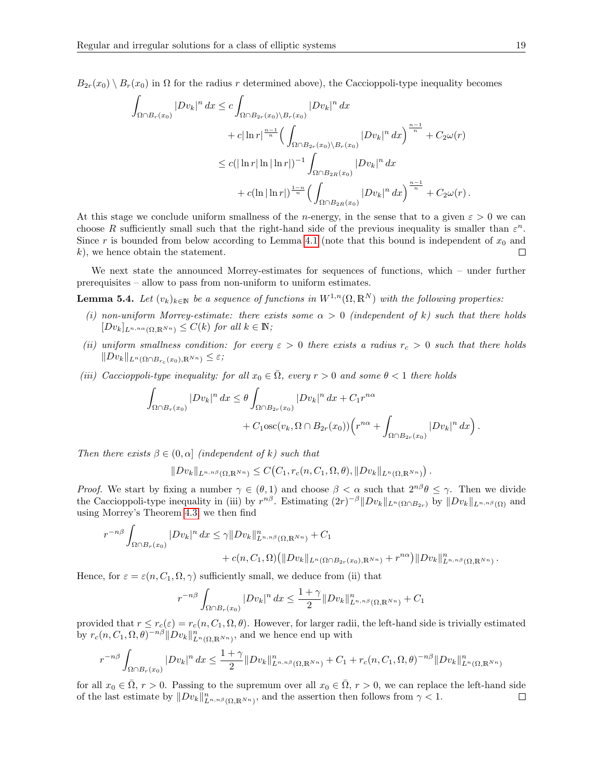$B_{2r}(x_0) \setminus B_r(x_0)$  in  $\Omega$  for the radius r determined above), the Caccioppoli-type inequality becomes

$$
\int_{\Omega \cap B_r(x_0)} |Dv_k|^n dx \leq c \int_{\Omega \cap B_{2r}(x_0) \backslash B_r(x_0)} |Dv_k|^n dx \n+ c |\ln r|^{n-1 \over n} \Big( \int_{\Omega \cap B_{2r}(x_0) \backslash B_r(x_0)} |Dv_k|^n dx \Big)^{n-1 \over n} + C_2 \omega(r) \n\leq c (|\ln r| \ln |\ln r|)^{-1} \int_{\Omega \cap B_{2R}(x_0)} |Dv_k|^n dx \n+ c (\ln |\ln r|)^{1-n} \Big( \int_{\Omega \cap B_{2R}(x_0)} |Dv_k|^n dx \Big)^{n-1 \over n} + C_2 \omega(r) .
$$

At this stage we conclude uniform smallness of the *n*-energy, in the sense that to a given  $\varepsilon > 0$  we can choose R sufficiently small such that the right-hand side of the previous inequality is smaller than  $\varepsilon^n$ . Since r is bounded from below according to Lemma [4.1](#page-13-0) (note that this bound is independent of  $x_0$  and k), we hence obtain the statement.  $\Box$ 

We next state the announced Morrey-estimates for sequences of functions, which – under further prerequisites – allow to pass from non-uniform to uniform estimates.

<span id="page-18-0"></span>**Lemma 5.4.** Let  $(v_k)_{k\in\mathbb{N}}$  be a sequence of functions in  $W^{1,n}(\Omega,\mathbb{R}^N)$  with the following properties:

- (i) non-uniform Morrey-estimate: there exists some  $\alpha > 0$  (independent of k) such that there holds  $[Dv_k]_{L^{n,n\alpha}(\Omega,\mathbb{R}^{Nn})}\leq C(k)$  for all  $k\in\mathbb{N}$ ;
- (ii) uniform smallness condition: for every  $\varepsilon > 0$  there exists a radius  $r_c > 0$  such that there holds  $||Dv_k||_{L^n(\Omega \cap B_{r_c}(x_0), \mathbb{R}^{N_n})} \leq \varepsilon;$
- (iii) Caccioppoli-type inequality: for all  $x_0 \in \overline{\Omega}$ , every  $r > 0$  and some  $\theta < 1$  there holds

$$
\int_{\Omega \cap B_r(x_0)} |Dv_k|^n dx \leq \theta \int_{\Omega \cap B_{2r}(x_0)} |Dv_k|^n dx + C_1 r^{n\alpha} \n+ C_1 \operatorname{osc}(v_k, \Omega \cap B_{2r}(x_0)) \Big( r^{n\alpha} + \int_{\Omega \cap B_{2r}(x_0)} |Dv_k|^n dx \Big).
$$

Then there exists  $\beta \in (0, \alpha]$  (independent of k) such that

$$
||Dv_k||_{L^{n,n\beta}(\Omega,\mathbb{R}^{Nn})} \leq C\big(C_1,r_c(n,C_1,\Omega,\theta), ||Dv_k||_{L^n(\Omega,\mathbb{R}^{Nn})}\big).
$$

*Proof.* We start by fixing a number  $\gamma \in (\theta, 1)$  and choose  $\beta < \alpha$  such that  $2^{n\beta}\theta \leq \gamma$ . Then we divide the Caccioppoli-type inequality in (iii) by  $r^{n\beta}$ . Estimating  $(2r)^{-\beta}||Dv_k||_{L^n(\Omega \cap B_{2r})}$  by  $||Dv_k||_{L^{n,n\beta}(\Omega)}$  and using Morrey's Theorem [4.3,](#page-14-2) we then find

$$
r^{-n\beta} \int_{\Omega \cap B_r(x_0)} |Dv_k|^n dx \leq \gamma \|Dv_k\|_{L^{n,n\beta}(\Omega, \mathbb{R}^{Nn})}^n + C_1 + c(n, C_1, \Omega) (\|Dv_k\|_{L^n(\Omega \cap B_{2r}(x_0), \mathbb{R}^{Nn})} + r^{n\alpha}) \|Dv_k\|_{L^{n,n\beta}(\Omega, \mathbb{R}^{Nn})}^n.
$$

Hence, for  $\varepsilon = \varepsilon(n, C_1, \Omega, \gamma)$  sufficiently small, we deduce from (ii) that

$$
r^{-n\beta} \int_{\Omega \cap B_r(x_0)} |Dv_k|^n dx \le \frac{1+\gamma}{2} \|Dv_k\|_{L^{n,n\beta}(\Omega, \mathbb{R}^{Nn})}^n + C_1
$$

provided that  $r \leq r_c(\varepsilon) = r_c(n, C_1, \Omega, \theta)$ . However, for larger radii, the left-hand side is trivially estimated by  $r_c(n, C_1, \Omega, \theta)^{-n\beta} \|Dv_k\|_{L^n(\Omega, \mathbb{R}^{N_n})}^n$ , and we hence end up with

$$
r^{-n\beta} \int_{\Omega \cap B_r(x_0)} |Dv_k|^n dx \le \frac{1+\gamma}{2} \|Dv_k\|_{L^{n,n\beta}(\Omega, \mathbb{R}^{Nn})}^n + C_1 + r_c(n, C_1, \Omega, \theta)^{-n\beta} \|Dv_k\|_{L^n(\Omega, \mathbb{R}^{Nn})}^n
$$

for all  $x_0 \in \Omega$ ,  $r > 0$ . Passing to the supremum over all  $x_0 \in \Omega$ ,  $r > 0$ , we can replace the left-hand side of the last estimate by  $||Dv_k||_{L^{n,n\beta}(\Omega,\mathbb{R}^{N_n})}^n$ , and the assertion then follows from  $\gamma < 1$ .  $\Box$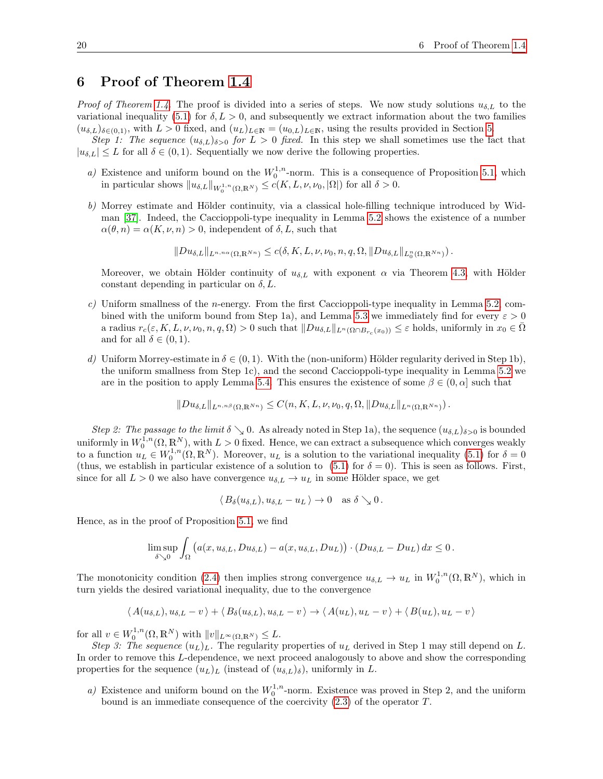# 6 Proof of Theorem [1.4](#page-3-1)

*Proof of Theorem [1.4.](#page-3-1)* The proof is divided into a series of steps. We now study solutions  $u_{\delta,L}$  to the variational inequality [\(5.1\)](#page-14-0) for  $\delta, L > 0$ , and subsequently we extract information about the two families  $(u_{\delta,L})_{\delta\in(0,1)}$ , with  $L>0$  fixed, and  $(u_L)_{L\in\mathbb{N}}=(u_{0,L})_{L\in\mathbb{N}}$ , using the results provided in Section [5.](#page-14-3)

Step 1: The sequence  $(u_{\delta,L})_{\delta>0}$  for  $L>0$  fixed. In this step we shall sometimes use the fact that  $|u_{\delta,L}| \leq L$  for all  $\delta \in (0,1)$ . Sequentially we now derive the following properties.

- a) Existence and uniform bound on the  $W_0^{1,n}$ -norm. This is a consequence of Proposition [5.1,](#page-14-4) which in particular shows  $||u_{\delta,L}||_{W_0^{1,n}(\Omega,\mathbb{R}^N)} \leq c(K,L,\nu,\nu_0, |\Omega|)$  for all  $\delta > 0$ .
- $b)$  Morrey estimate and Hölder continuity, via a classical hole-filling technique introduced by Widman [\[37\]](#page-24-6). Indeed, the Caccioppoli-type inequality in Lemma [5.2](#page-15-0) shows the existence of a number  $\alpha(\theta, n) = \alpha(K, \nu, n) > 0$ , independent of  $\delta, L$ , such that

$$
||Du_{\delta,L}||_{L^{n,n\alpha}(\Omega,\mathbb{R}^{Nn})}\leq c(\delta,K,L,\nu,\nu_0,n,q,\Omega,||Du_{\delta,L}||_{L_0^n(\Omega,\mathbb{R}^{Nn})}).
$$

Moreover, we obtain Hölder continuity of  $u_{\delta,L}$  with exponent  $\alpha$  via Theorem [4.3,](#page-14-2) with Hölder constant depending in particular on  $\delta, L$ .

- c) Uniform smallness of the *n*-energy. From the first Caccioppoli-type inequality in Lemma [5.2,](#page-15-0) com-bined with the uniform bound from Step 1a), and Lemma [5.3](#page-17-0) we immediately find for every  $\varepsilon > 0$ a radius  $r_c(\varepsilon, K, L, \nu, \nu_0, n, q, \Omega) > 0$  such that  $||Du_{\delta,L}||_{L^n(\Omega \cap B_{r_c}(x_0))} \leq \varepsilon$  holds, uniformly in  $x_0 \in \overline{\Omega}$ and for all  $\delta \in (0,1)$ .
- d) Uniform Morrey-estimate in  $\delta \in (0,1)$ . With the (non-uniform) Hölder regularity derived in Step 1b), the uniform smallness from Step 1c), and the second Caccioppoli-type inequality in Lemma [5.2](#page-15-0) we are in the position to apply Lemma [5.4.](#page-18-0) This ensures the existence of some  $\beta \in (0, \alpha]$  such that

$$
||Du_{\delta,L}||_{L^{n,n,\beta}(\Omega,\mathbb{R}^{Nn})}\leq C(n,K,L,\nu,\nu_0,q,\Omega,||Du_{\delta,L}||_{L^{n}(\Omega,\mathbb{R}^{Nn})}).
$$

Step 2: The passage to the limit  $\delta \searrow 0$ . As already noted in Step 1a), the sequence  $(u_{\delta,L})_{\delta>0}$  is bounded uniformly in  $W_0^{1,n}(\Omega,\mathbb{R}^N)$ , with  $L>0$  fixed. Hence, we can extract a subsequence which converges weakly to a function  $u_L \in W_0^{1,n}(\Omega,\mathbb{R}^N)$ . Moreover,  $u_L$  is a solution to the variational inequality [\(5.1\)](#page-14-0) for  $\delta = 0$ (thus, we establish in particular existence of a solution to  $(5.1)$  for  $\delta = 0$ ). This is seen as follows. First, since for all  $L > 0$  we also have convergence  $u_{\delta,L} \to u_L$  in some Hölder space, we get

$$
\langle B_{\delta}(u_{\delta,L}), u_{\delta,L} - u_L \rangle \to 0 \quad \text{as } \delta \searrow 0.
$$

Hence, as in the proof of Proposition [5.1,](#page-14-4) we find

$$
\limsup_{\delta \searrow 0} \int_{\Omega} \left( a(x, u_{\delta, L}, Du_{\delta, L}) - a(x, u_{\delta, L}, Du_L) \right) \cdot \left( Du_{\delta, L} - Du_L \right) dx \leq 0.
$$

The monotonicity condition [\(2.4\)](#page-5-5) then implies strong convergence  $u_{\delta,L} \to u_L$  in  $W_0^{1,n}(\Omega,\mathbb{R}^N)$ , which in turn yields the desired variational inequality, due to the convergence

$$
\langle A(u_{\delta,L}), u_{\delta,L} - v \rangle + \langle B_{\delta}(u_{\delta,L}), u_{\delta,L} - v \rangle \rightarrow \langle A(u_L), u_L - v \rangle + \langle B(u_L), u_L - v \rangle
$$

for all  $v \in W_0^{1,n}(\Omega,\mathbb{R}^N)$  with  $||v||_{L^{\infty}(\Omega,\mathbb{R}^N)} \leq L$ .

Step 3: The sequence  $(u_L)_L$ . The regularity properties of  $u_L$  derived in Step 1 may still depend on L. In order to remove this L-dependence, we next proceed analogously to above and show the corresponding properties for the sequence  $(u_L)_L$  (instead of  $(u_{\delta,L})_\delta$ ), uniformly in L.

a) Existence and uniform bound on the  $W_0^{1,n}$ -norm. Existence was proved in Step 2, and the uniform bound is an immediate consequence of the coercivity  $(2.3)$  of the operator  $T$ .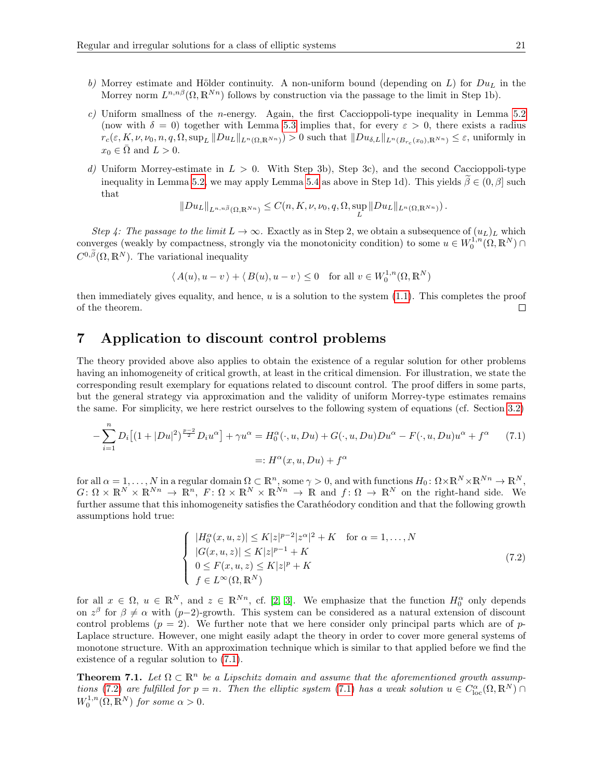- b) Morrey estimate and Hölder continuity. A non-uniform bound (depending on L) for  $Du<sub>L</sub>$  in the Morrey norm  $L^{n,n\beta}(\Omega,\mathbb{R}^{Nn})$  follows by construction via the passage to the limit in Step 1b).
- $c$ ) Uniform smallness of the *n*-energy. Again, the first Caccioppoli-type inequality in Lemma [5.2](#page-15-0) (now with  $\delta = 0$ ) together with Lemma [5.3](#page-17-0) implies that, for every  $\varepsilon > 0$ , there exists a radius  $r_c(\varepsilon, K, \nu, \nu_0, n, q, \Omega, \sup_L \|Du_L\|_{L^n(\Omega, \mathbb{R}^{Nn})}) > 0$  such that  $\|Du_{\delta, L}\|_{L^n(B_{r_c}(x_0), \mathbb{R}^{Nn})} \leq \varepsilon$ , uniformly in  $x_0 \in \overline{\Omega}$  and  $L > 0$ .
- d) Uniform Morrey-estimate in  $L > 0$ . With Step 3b), Step 3c), and the second Caccioppoli-type inequality in Lemma [5.2,](#page-15-0) we may apply Lemma [5.4](#page-18-0) as above in Step 1d). This yields  $\tilde{\beta} \in (0, \beta]$  such that

$$
||Du_L||_{L^{n,n}\tilde{\beta}(\Omega,\mathbb{R}^{Nn})}\leq C(n,K,\nu,\nu_0,q,\Omega,\sup_L ||Du_L||_{L^n(\Omega,\mathbb{R}^{Nn})}).
$$

Step 4: The passage to the limit  $L \to \infty$ . Exactly as in Step 2, we obtain a subsequence of  $(u_L)_L$  which converges (weakly by compactness, strongly via the monotonicity condition) to some  $u \in W_0^{1,n}(\Omega,\mathbb{R}^N)$  $C^{0,\widetilde{\beta}}(\Omega,\mathbb{R}^N)$ . The variational inequality

$$
\langle A(u), u - v \rangle + \langle B(u), u - v \rangle \le 0 \quad \text{for all } v \in W_0^{1,n}(\Omega, \mathbb{R}^N)
$$

then immediately gives equality, and hence,  $u$  is a solution to the system  $(1.1)$ . This completes the proof of the theorem.  $\Box$ 

### <span id="page-20-0"></span>7 Application to discount control problems

The theory provided above also applies to obtain the existence of a regular solution for other problems having an inhomogeneity of critical growth, at least in the critical dimension. For illustration, we state the corresponding result exemplary for equations related to discount control. The proof differs in some parts, but the general strategy via approximation and the validity of uniform Morrey-type estimates remains the same. For simplicity, we here restrict ourselves to the following system of equations (cf. Section [3.2\)](#page-7-0)

$$
-\sum_{i=1}^{n} D_i \left[ (1+|Du|^2)^{\frac{p-2}{2}} D_i u^{\alpha} \right] + \gamma u^{\alpha} = H_0^{\alpha}(\cdot, u, Du) + G(\cdot, u, Du)Du^{\alpha} - F(\cdot, u, Du)u^{\alpha} + f^{\alpha} \tag{7.1}
$$

$$
=: H^{\alpha}(x, u, Du) + f^{\alpha}
$$

for all  $\alpha = 1, \ldots, N$  in a regular domain  $\Omega \subset \mathbb{R}^n$ , some  $\gamma > 0$ , and with functions  $H_0: \Omega \times \mathbb{R}^N \times \mathbb{R}^{N_n} \to \mathbb{R}^N$ ,  $G: \Omega \times \mathbb{R}^N \times \mathbb{R}^{N_n} \to \mathbb{R}^n$ ,  $F: \Omega \times \mathbb{R}^N \times \mathbb{R}^{N_n} \to \mathbb{R}$  and  $f: \Omega \to \mathbb{R}^N$  on the right-hand side. We further assume that this inhomogeneity satisfies the Carathéodory condition and that the following growth assumptions hold true:

<span id="page-20-2"></span><span id="page-20-1"></span>
$$
\begin{cases}\n|H_0^{\alpha}(x, u, z)| \le K|z|^{p-2}|z^{\alpha}|^2 + K & \text{for } \alpha = 1, \dots, N \\
|G(x, u, z)| \le K|z|^{p-1} + K \\
0 \le F(x, u, z) \le K|z|^p + K \\
f \in L^{\infty}(\Omega, \mathbb{R}^N)\n\end{cases}
$$
\n(7.2)

for all  $x \in \Omega$ ,  $u \in \mathbb{R}^N$ , and  $z \in \mathbb{R}^{N_n}$ , cf. [\[2,](#page-22-1) [3\]](#page-22-2). We emphasize that the function  $H_0^{\alpha}$  only depends on  $z^{\beta}$  for  $\beta \neq \alpha$  with (p-2)-growth. This system can be considered as a natural extension of discount control problems  $(p = 2)$ . We further note that we here consider only principal parts which are of p-Laplace structure. However, one might easily adapt the theory in order to cover more general systems of monotone structure. With an approximation technique which is similar to that applied before we find the existence of a regular solution to [\(7.1\)](#page-20-1).

**Theorem 7.1.** Let  $\Omega \subset \mathbb{R}^n$  be a Lipschitz domain and assume that the aforementioned growth assump-tions [\(7.2\)](#page-20-2) are fulfilled for  $p = n$ . Then the elliptic system [\(7.1\)](#page-20-1) has a weak solution  $u \in C^{\alpha}_{loc}(\Omega, \mathbb{R}^N)$  $W_0^{1,n}(\Omega,\mathbb{R}^N)$  for some  $\alpha > 0$ .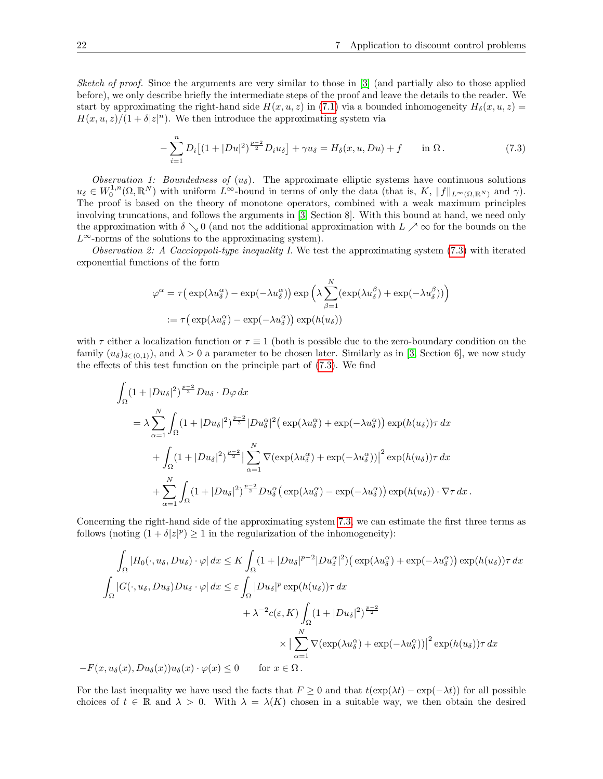Sketch of proof. Since the arguments are very similar to those in [\[3\]](#page-22-2) (and partially also to those applied before), we only describe briefly the intermediate steps of the proof and leave the details to the reader. We start by approximating the right-hand side  $H(x, u, z)$  in [\(7.1\)](#page-20-1) via a bounded inhomogeneity  $H_{\delta}(x, u, z)$  =  $H(x, u, z)/(1 + \delta |z|^n)$ . We then introduce the approximating system via

<span id="page-21-0"></span>
$$
-\sum_{i=1}^{n} D_i \left[ (1+|Du|^2)^{\frac{p-2}{2}} D_i u_\delta \right] + \gamma u_\delta = H_\delta(x, u, Du) + f \quad \text{in } \Omega. \tag{7.3}
$$

Observation 1: Boundedness of  $(u_{\delta})$ . The approximate elliptic systems have continuous solutions  $u_{\delta} \in W_0^{1,n}(\Omega,\mathbb{R}^N)$  with uniform  $L^{\infty}$ -bound in terms of only the data (that is, K,  $||f||_{L^{\infty}(\Omega,\mathbb{R}^N)}$  and  $\gamma$ ). The proof is based on the theory of monotone operators, combined with a weak maximum principles involving truncations, and follows the arguments in [\[3,](#page-22-2) Section 8]. With this bound at hand, we need only the approximation with  $\delta \searrow 0$  (and not the additional approximation with  $L \nearrow \infty$  for the bounds on the  $L^{\infty}$ -norms of the solutions to the approximating system).

Observation 2: A Caccioppoli-type inequality I. We test the approximating system  $(7.3)$  with iterated exponential functions of the form

$$
\varphi^{\alpha} = \tau \Big( \exp(\lambda u_{\delta}^{\alpha}) - \exp(-\lambda u_{\delta}^{\alpha}) \Big) \exp \Big( \lambda \sum_{\beta=1}^{N} (\exp(\lambda u_{\delta}^{\beta}) + \exp(-\lambda u_{\delta}^{\beta})) \Big)
$$

$$
:= \tau \Big( \exp(\lambda u_{\delta}^{\alpha}) - \exp(-\lambda u_{\delta}^{\alpha}) \Big) \exp(h(u_{\delta}))
$$

with  $\tau$  either a localization function or  $\tau \equiv 1$  (both is possible due to the zero-boundary condition on the family  $(u_{\delta})_{\delta\in(0,1)}$ , and  $\lambda > 0$  a parameter to be chosen later. Similarly as in [\[3,](#page-22-2) Section 6], we now study the effects of this test function on the principle part of [\(7.3\)](#page-21-0). We find

$$
\int_{\Omega} (1+|Du_{\delta}|^{2})^{\frac{p-2}{2}} Du_{\delta} \cdot D\varphi dx
$$
\n
$$
= \lambda \sum_{\alpha=1}^{N} \int_{\Omega} (1+|Du_{\delta}|^{2})^{\frac{p-2}{2}} |Du_{\delta}^{\alpha}|^{2} (\exp(\lambda u_{\delta}^{\alpha}) + \exp(-\lambda u_{\delta}^{\alpha})) \exp(h(u_{\delta}))\tau dx
$$
\n
$$
+ \int_{\Omega} (1+|Du_{\delta}|^{2})^{\frac{p-2}{2}} \left| \sum_{\alpha=1}^{N} \nabla(\exp(\lambda u_{\delta}^{\alpha}) + \exp(-\lambda u_{\delta}^{\alpha})) \right|^{2} \exp(h(u_{\delta}))\tau dx
$$
\n
$$
+ \sum_{\alpha=1}^{N} \int_{\Omega} (1+|Du_{\delta}|^{2})^{\frac{p-2}{2}} Du_{\delta}^{\alpha} (\exp(\lambda u_{\delta}^{\alpha}) - \exp(-\lambda u_{\delta}^{\alpha})) \exp(h(u_{\delta})) \cdot \nabla \tau dx.
$$

Concerning the right-hand side of the approximating system [7.3,](#page-21-0) we can estimate the first three terms as follows (noting  $(1 + \delta |z|^p) \ge 1$  in the regularization of the inhomogeneity):

$$
\int_{\Omega} |H_0(\cdot, u_\delta, Du_\delta) \cdot \varphi| dx \le K \int_{\Omega} (1 + |Du_\delta|^{p-2} |Du_\delta^\alpha|^2) \left(\exp(\lambda u_\delta^\alpha) + \exp(-\lambda u_\delta^\alpha)\right) \exp(h(u_\delta)) \tau dx
$$
  

$$
\int_{\Omega} |G(\cdot, u_\delta, Du_\delta) Du_\delta \cdot \varphi| dx \le \varepsilon \int_{\Omega} |Du_\delta|^p \exp(h(u_\delta)) \tau dx
$$
  

$$
+ \lambda^{-2} c(\varepsilon, K) \int_{\Omega} (1 + |Du_\delta|^2)^{\frac{p-2}{2}}
$$
  

$$
\times \left| \sum_{\alpha=1}^N \nabla(\exp(\lambda u_\delta^\alpha) + \exp(-\lambda u_\delta^\alpha)) \right|^2 \exp(h(u_\delta)) \tau dx
$$
  

$$
-F(x, u_\delta(x), Du_\delta(x)) u_\delta(x) \cdot \varphi(x) \le 0 \quad \text{for } x \in \Omega.
$$

For the last inequality we have used the facts that  $F \ge 0$  and that  $t(\exp(\lambda t) - \exp(-\lambda t))$  for all possible choices of  $t \in \mathbb{R}$  and  $\lambda > 0$ . With  $\lambda = \lambda(K)$  chosen in a suitable way, we then obtain the desired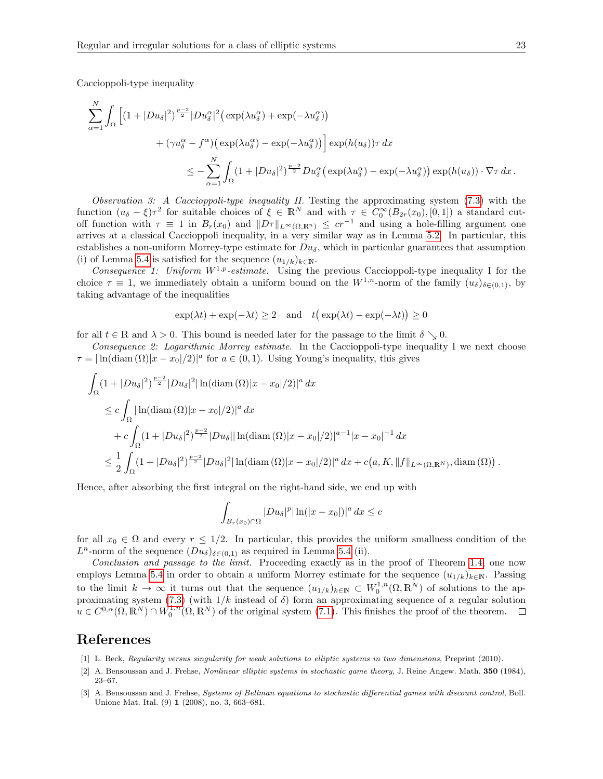Caccioppoli-type inequality

$$
\sum_{\alpha=1}^{N} \int_{\Omega} \left[ (1+|Du_{\delta}|^{2})^{\frac{p-2}{2}} |Du_{\delta}^{\alpha}|^{2} \left( \exp(\lambda u_{\delta}^{\alpha}) + \exp(-\lambda u_{\delta}^{\alpha}) \right) \right] \n+ (\gamma u_{\delta}^{\alpha} - f^{\alpha}) \left( \exp(\lambda u_{\delta}^{\alpha}) - \exp(-\lambda u_{\delta}^{\alpha}) \right) \left[ \exp(h(u_{\delta})) \tau \, dx \right] \n\\
\leq - \sum_{\alpha=1}^{N} \int_{\Omega} (1+|Du_{\delta}|^{2})^{\frac{p-2}{2}} Du_{\delta}^{\alpha} \left( \exp(\lambda u_{\delta}^{\alpha}) - \exp(-\lambda u_{\delta}^{\alpha}) \right) \exp(h(u_{\delta})) \cdot \nabla \tau \, dx \, .
$$

Observation 3: A Caccioppoli-type inequality II. Testing the approximating system  $(7.3)$  with the function  $(u_{\delta} - \xi)\tau^2$  for suitable choices of  $\xi \in \mathbb{R}^N$  and with  $\tau \in C_0^{\infty}(B_{2r}(x_0), [0,1])$  a standard cutoff function with  $\tau \equiv 1$  in  $B_r(x_0)$  and  $||D\tau||_{L^{\infty}(\Omega,\mathbb{R}^n)} \leq cr^{-1}$  and using a hole-filling argument one arrives at a classical Caccioppoli inequality, in a very similar way as in Lemma [5.2.](#page-15-0) In particular, this establishes a non-uniform Morrey-type estimate for  $Du_{\delta}$ , which in particular guarantees that assumption (i) of Lemma [5.4](#page-18-0) is satisfied for the sequence  $(u_{1/k})_{k\in\mathbb{N}}$ .

Consequence 1: Uniform  $W^{1,p}$ -estimate. Using the previous Caccioppoli-type inequality I for the choice  $\tau \equiv 1$ , we immediately obtain a uniform bound on the W<sup>1,n</sup>-norm of the family  $(u_{\delta})_{\delta \in (0,1)}$ , by taking advantage of the inequalities

$$
\exp(\lambda t) + \exp(-\lambda t) \ge 2
$$
 and  $t(\exp(\lambda t) - \exp(-\lambda t)) \ge 0$ 

for all  $t \in \mathbb{R}$  and  $\lambda > 0$ . This bound is needed later for the passage to the limit  $\delta \searrow 0$ .

Consequence 2: Logarithmic Morrey estimate. In the Caccioppoli-type inequality I we next choose  $\tau = |\ln(\text{diam}(\Omega)|x - x_0|/2)|^a$  for  $a \in (0, 1)$ . Using Young's inequality, this gives

$$
\int_{\Omega} (1+|Du_{\delta}|^{2})^{\frac{p-2}{2}} |Du_{\delta}|^{2} | \ln(\text{diam}(\Omega)|x-x_{0}|/2)|^{a} dx
$$
\n
$$
\leq c \int_{\Omega} |\ln(\text{diam}(\Omega)|x-x_{0}|/2)|^{a} dx
$$
\n
$$
+ c \int_{\Omega} (1+|Du_{\delta}|^{2})^{\frac{p-2}{2}} |Du_{\delta}| |\ln(\text{diam}(\Omega)|x-x_{0}|/2)|^{a-1} |x-x_{0}|^{-1} dx
$$
\n
$$
\leq \frac{1}{2} \int_{\Omega} (1+|Du_{\delta}|^{2})^{\frac{p-2}{2}} |Du_{\delta}|^{2} |\ln(\text{diam}(\Omega)|x-x_{0}|/2)|^{a} dx + c(a, K, ||f||_{L^{\infty}(\Omega, \mathbb{R}^{N})}, \text{diam}(\Omega)).
$$

Hence, after absorbing the first integral on the right-hand side, we end up with

$$
\int_{B_r(x_0)\cap\Omega} |Du_\delta|^p |\ln(|x-x_0|)|^a dx \leq c
$$

for all  $x_0 \in \Omega$  and every  $r \leq 1/2$ . In particular, this provides the uniform smallness condition of the  $L^n$ -norm of the sequence  $(Du_\delta)_{\delta \in (0,1)}$  as required in Lemma [5.4](#page-18-0) (ii).

Conclusion and passage to the limit. Proceeding exactly as in the proof of Theorem [1.4,](#page-3-1) one now employs Lemma [5.4](#page-18-0) in order to obtain a uniform Morrey estimate for the sequence  $(u_{1/k})_{k\in\mathbb{N}}$ . Passing to the limit  $k \to \infty$  it turns out that the sequence  $(u_{1/k})_{k\in\mathbb{N}} \subset W_0^{1,n}(\Omega,\mathbb{R}^N)$  of solutions to the ap-proximating system [\(7.3\)](#page-21-0) (with  $1/k$  instead of  $\delta$ ) form an approximating sequence of a regular solution  $u \in C^{0,\alpha}(\Omega, \mathbb{R}^N) \cap W_0^{1,n}(\Omega, \mathbb{R}^N)$  of the original system [\(7.1\)](#page-20-1). This finishes the proof of the theorem.

### References

- <span id="page-22-0"></span>[1] L. Beck, Regularity versus singularity for weak solutions to elliptic systems in two dimensions, Preprint (2010).
- <span id="page-22-1"></span>[2] A. Bensoussan and J. Frehse, Nonlinear elliptic systems in stochastic game theory, J. Reine Angew. Math. 350 (1984), 23–67.
- <span id="page-22-2"></span>[3] A. Bensoussan and J. Frehse, Systems of Bellman equations to stochastic differential games with discount control, Boll. Unione Mat. Ital. (9) 1 (2008), no. 3, 663–681.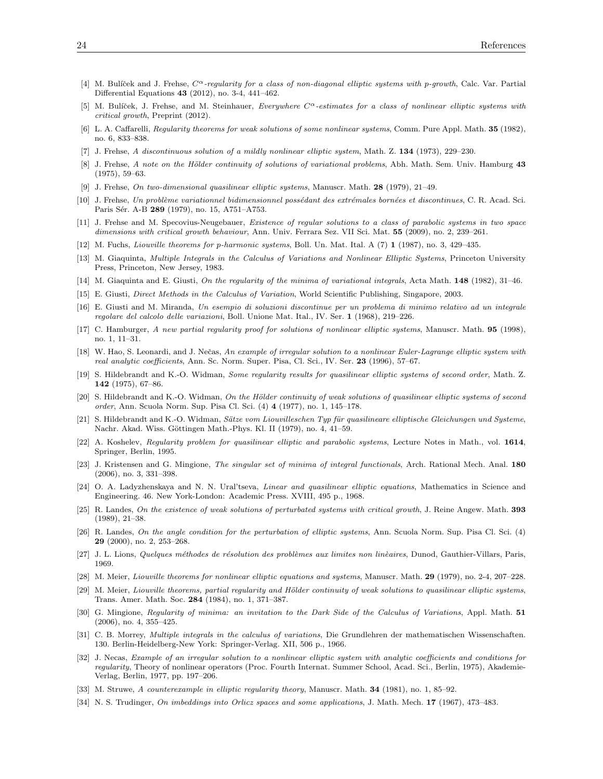- <span id="page-23-17"></span>[4] M. Bulíček and J. Frehse,  $C^{\alpha}$ -regularity for a class of non-diagonal elliptic systems with p-growth, Calc. Var. Partial Differential Equations 43 (2012), no. 3-4, 441–462.
- <span id="page-23-18"></span>[5] M. Bulíček, J. Frehse, and M. Steinhauer, Everywhere  $C^{\alpha}$ -estimates for a class of nonlinear elliptic systems with critical growth, Preprint (2012).
- <span id="page-23-8"></span>[6] L. A. Caffarelli, Regularity theorems for weak solutions of some nonlinear systems, Comm. Pure Appl. Math. 35 (1982), no. 6, 833–838.
- <span id="page-23-10"></span>[7] J. Frehse, A discontinuous solution of a mildly nonlinear elliptic system, Math. Z. 134 (1973), 229–230.
- <span id="page-23-23"></span>[8] J. Frehse, A note on the Hölder continuity of solutions of variational problems, Abh. Math. Sem. Univ. Hamburg 43 (1975), 59–63.
- <span id="page-23-12"></span>[9] J. Frehse, On two-dimensional quasilinear elliptic systems, Manuscr. Math. 28 (1979), 21–49.
- <span id="page-23-24"></span>[10] J. Frehse, Un problème variationnel bidimensionnel possédant des extrémales bornées et discontinues, C. R. Acad. Sci. Paris Sér. A-B 289 (1979), no. 15, A751-A753.
- <span id="page-23-25"></span>[11] J. Frehse and M. Specovius-Neugebauer, Existence of regular solutions to a class of parabolic systems in two space dimensions with critical growth behaviour, Ann. Univ. Ferrara Sez. VII Sci. Mat. 55 (2009), no. 2, 239–261.
- <span id="page-23-22"></span>[12] M. Fuchs, Liouville theorems for p-harmonic systems, Boll. Un. Mat. Ital. A (7) 1 (1987), no. 3, 429–435.
- <span id="page-23-28"></span>[13] M. Giaquinta, Multiple Integrals in the Calculus of Variations and Nonlinear Elliptic Systems, Princeton University Press, Princeton, New Jersey, 1983.
- <span id="page-23-16"></span>[14] M. Giaquinta and E. Giusti, On the regularity of the minima of variational integrals, Acta Math. 148 (1982), 31–46.
- <span id="page-23-27"></span>[15] E. Giusti, Direct Methods in the Calculus of Variation, World Scientific Publishing, Singapore, 2003.
- <span id="page-23-0"></span>[16] E. Giusti and M. Miranda, Un esempio di soluzioni discontinue per un problema di minimo relativo ad un integrale regolare del calcolo delle variazioni, Boll. Unione Mat. Ital., IV. Ser. 1 (1968), 219–226.
- <span id="page-23-19"></span>[17] C. Hamburger, A new partial regularity proof for solutions of nonlinear elliptic systems, Manuscr. Math. 95 (1998), no. 1, 11–31.
- <span id="page-23-2"></span>[18] W. Hao, S. Leonardi, and J. Nečas, An example of irregular solution to a nonlinear Euler-Lagrange elliptic system with real analytic coefficients, Ann. Sc. Norm. Super. Pisa, Cl. Sci., IV. Ser. 23 (1996), 57-67.
- <span id="page-23-6"></span>[19] S. Hildebrandt and K.-O. Widman, Some regularity results for quasilinear elliptic systems of second order, Math. Z. 142 (1975), 67–86.
- <span id="page-23-7"></span> $[20]$  S. Hildebrandt and K.-O. Widman, On the Hölder continuity of weak solutions of quasilinear elliptic systems of second order, Ann. Scuola Norm. Sup. Pisa Cl. Sci. (4) 4 (1977), no. 1, 145–178.
- <span id="page-23-14"></span>[21] S. Hildebrandt and K.-O. Widman, Sätze vom Liouvilleschen Typ für quasilineare elliptische Gleichungen und Systeme, Nachr. Akad. Wiss. Göttingen Math.-Phys. Kl. II (1979), no. 4, 41–59.
- <span id="page-23-4"></span>[22] A. Koshelev, Regularity problem for quasilinear elliptic and parabolic systems, Lecture Notes in Math., vol. 1614, Springer, Berlin, 1995.
- <span id="page-23-29"></span>[23] J. Kristensen and G. Mingione, The singular set of minima of integral functionals, Arch. Rational Mech. Anal. 180 (2006), no. 3, 331–398.
- <span id="page-23-5"></span>[24] O. A. Ladyzhenskaya and N. N. Ural'tseva, Linear and quasilinear elliptic equations, Mathematics in Science and Engineering. 46. New York-London: Academic Press. XVIII, 495 p., 1968.
- <span id="page-23-20"></span>[25] R. Landes, On the existence of weak solutions of perturbated systems with critical growth, J. Reine Angew. Math. 393 (1989), 21–38.
- <span id="page-23-21"></span>[26] R. Landes, On the angle condition for the perturbation of elliptic systems, Ann. Scuola Norm. Sup. Pisa Cl. Sci. (4) 29 (2000), no. 2, 253–268.
- <span id="page-23-30"></span>[27] J. L. Lions, Quelques méthodes de résolution des problèmes aux limites non linèaires, Dunod, Gauthier-Villars, Paris, 1969.
- <span id="page-23-11"></span>[28] M. Meier, Liouville theorems for nonlinear elliptic equations and systems, Manuscr. Math. 29 (1979), no. 2-4, 207–228.
- <span id="page-23-13"></span>[29] M. Meier, Liouville theorems, partial regularity and Hölder continuity of weak solutions to quasilinear elliptic systems, Trans. Amer. Math. Soc. 284 (1984), no. 1, 371–387.
- <span id="page-23-3"></span>[30] G. Mingione, Regularity of minima: an invitation to the Dark Side of the Calculus of Variations, Appl. Math. 51 (2006), no. 4, 355–425.
- <span id="page-23-15"></span>[31] C. B. Morrey, Multiple integrals in the calculus of variations, Die Grundlehren der mathematischen Wissenschaften. 130. Berlin-Heidelberg-New York: Springer-Verlag. XII, 506 p., 1966.
- <span id="page-23-1"></span>[32] J. Necas, Example of an irregular solution to a nonlinear elliptic system with analytic coefficients and conditions for regularity, Theory of nonlinear operators (Proc. Fourth Internat. Summer School, Acad. Sci., Berlin, 1975), Akademie-Verlag, Berlin, 1977, pp. 197–206.
- <span id="page-23-9"></span>[33] M. Struwe, A counterexample in elliptic regularity theory, Manuscr. Math. 34 (1981), no. 1, 85–92.
- <span id="page-23-26"></span>[34] N. S. Trudinger, On imbeddings into Orlicz spaces and some applications, J. Math. Mech. 17 (1967), 473–483.